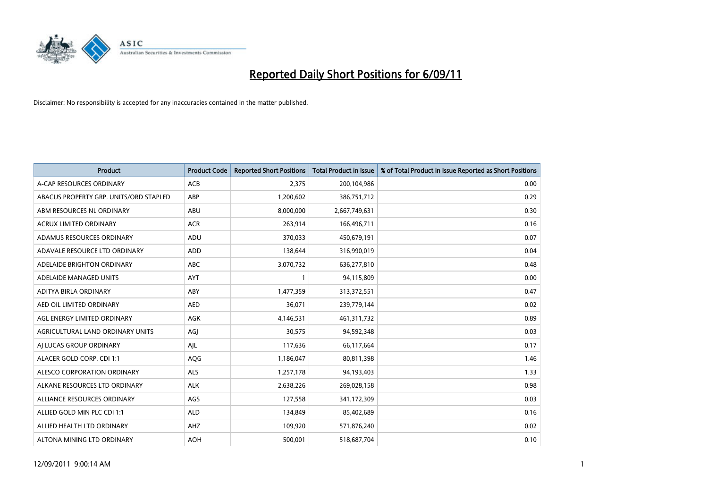

| Product                                | <b>Product Code</b> | <b>Reported Short Positions</b> | <b>Total Product in Issue</b> | % of Total Product in Issue Reported as Short Positions |
|----------------------------------------|---------------------|---------------------------------|-------------------------------|---------------------------------------------------------|
| A-CAP RESOURCES ORDINARY               | <b>ACB</b>          | 2,375                           | 200,104,986                   | 0.00                                                    |
| ABACUS PROPERTY GRP. UNITS/ORD STAPLED | ABP                 | 1,200,602                       | 386,751,712                   | 0.29                                                    |
| ABM RESOURCES NL ORDINARY              | ABU                 | 8,000,000                       | 2,667,749,631                 | 0.30                                                    |
| ACRUX LIMITED ORDINARY                 | <b>ACR</b>          | 263,914                         | 166,496,711                   | 0.16                                                    |
| ADAMUS RESOURCES ORDINARY              | ADU                 | 370,033                         | 450,679,191                   | 0.07                                                    |
| ADAVALE RESOURCE LTD ORDINARY          | <b>ADD</b>          | 138,644                         | 316,990,019                   | 0.04                                                    |
| ADELAIDE BRIGHTON ORDINARY             | <b>ABC</b>          | 3,070,732                       | 636,277,810                   | 0.48                                                    |
| ADELAIDE MANAGED UNITS                 | <b>AYT</b>          |                                 | 94,115,809                    | 0.00                                                    |
| ADITYA BIRLA ORDINARY                  | ABY                 | 1,477,359                       | 313,372,551                   | 0.47                                                    |
| AED OIL LIMITED ORDINARY               | <b>AED</b>          | 36,071                          | 239,779,144                   | 0.02                                                    |
| AGL ENERGY LIMITED ORDINARY            | <b>AGK</b>          | 4,146,531                       | 461,311,732                   | 0.89                                                    |
| AGRICULTURAL LAND ORDINARY UNITS       | AGJ                 | 30,575                          | 94,592,348                    | 0.03                                                    |
| AI LUCAS GROUP ORDINARY                | AJL                 | 117,636                         | 66,117,664                    | 0.17                                                    |
| ALACER GOLD CORP. CDI 1:1              | AQG                 | 1,186,047                       | 80,811,398                    | 1.46                                                    |
| ALESCO CORPORATION ORDINARY            | <b>ALS</b>          | 1,257,178                       | 94,193,403                    | 1.33                                                    |
| ALKANE RESOURCES LTD ORDINARY          | <b>ALK</b>          | 2,638,226                       | 269,028,158                   | 0.98                                                    |
| ALLIANCE RESOURCES ORDINARY            | AGS                 | 127,558                         | 341,172,309                   | 0.03                                                    |
| ALLIED GOLD MIN PLC CDI 1:1            | <b>ALD</b>          | 134,849                         | 85,402,689                    | 0.16                                                    |
| ALLIED HEALTH LTD ORDINARY             | AHZ                 | 109,920                         | 571,876,240                   | 0.02                                                    |
| ALTONA MINING LTD ORDINARY             | <b>AOH</b>          | 500,001                         | 518,687,704                   | 0.10                                                    |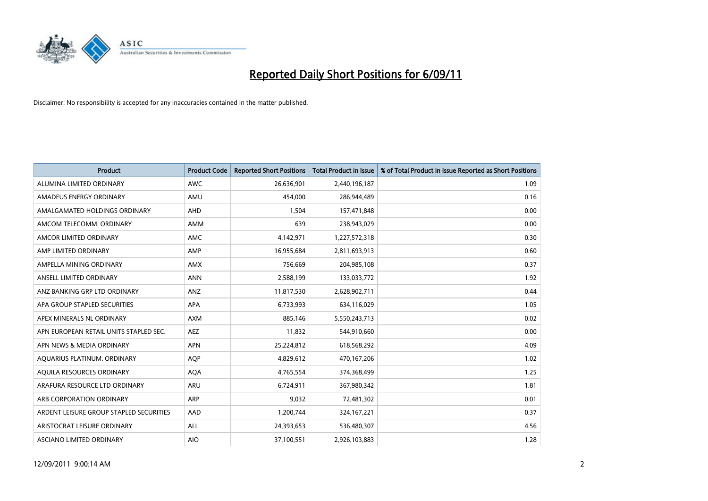

| <b>Product</b>                          | <b>Product Code</b> | <b>Reported Short Positions</b> | <b>Total Product in Issue</b> | % of Total Product in Issue Reported as Short Positions |
|-----------------------------------------|---------------------|---------------------------------|-------------------------------|---------------------------------------------------------|
| ALUMINA LIMITED ORDINARY                | <b>AWC</b>          | 26,636,901                      | 2,440,196,187                 | 1.09                                                    |
| AMADEUS ENERGY ORDINARY                 | AMU                 | 454.000                         | 286,944,489                   | 0.16                                                    |
| AMALGAMATED HOLDINGS ORDINARY           | AHD                 | 1,504                           | 157,471,848                   | 0.00                                                    |
| AMCOM TELECOMM. ORDINARY                | <b>AMM</b>          | 639                             | 238,943,029                   | 0.00                                                    |
| AMCOR LIMITED ORDINARY                  | <b>AMC</b>          | 4,142,971                       | 1,227,572,318                 | 0.30                                                    |
| AMP LIMITED ORDINARY                    | AMP                 | 16,955,684                      | 2,811,693,913                 | 0.60                                                    |
| AMPELLA MINING ORDINARY                 | <b>AMX</b>          | 756,669                         | 204,985,108                   | 0.37                                                    |
| ANSELL LIMITED ORDINARY                 | <b>ANN</b>          | 2,588,199                       | 133,033,772                   | 1.92                                                    |
| ANZ BANKING GRP LTD ORDINARY            | ANZ                 | 11,817,530                      | 2,628,902,711                 | 0.44                                                    |
| APA GROUP STAPLED SECURITIES            | <b>APA</b>          | 6,733,993                       | 634,116,029                   | 1.05                                                    |
| APEX MINERALS NL ORDINARY               | <b>AXM</b>          | 885,146                         | 5,550,243,713                 | 0.02                                                    |
| APN EUROPEAN RETAIL UNITS STAPLED SEC.  | <b>AEZ</b>          | 11,832                          | 544,910,660                   | 0.00                                                    |
| APN NEWS & MEDIA ORDINARY               | <b>APN</b>          | 25,224,812                      | 618,568,292                   | 4.09                                                    |
| AQUARIUS PLATINUM. ORDINARY             | <b>AOP</b>          | 4,829,612                       | 470,167,206                   | 1.02                                                    |
| AQUILA RESOURCES ORDINARY               | <b>AQA</b>          | 4,765,554                       | 374,368,499                   | 1.25                                                    |
| ARAFURA RESOURCE LTD ORDINARY           | <b>ARU</b>          | 6,724,911                       | 367,980,342                   | 1.81                                                    |
| ARB CORPORATION ORDINARY                | <b>ARP</b>          | 9,032                           | 72,481,302                    | 0.01                                                    |
| ARDENT LEISURE GROUP STAPLED SECURITIES | AAD                 | 1,200,744                       | 324, 167, 221                 | 0.37                                                    |
| ARISTOCRAT LEISURE ORDINARY             | <b>ALL</b>          | 24,393,653                      | 536,480,307                   | 4.56                                                    |
| ASCIANO LIMITED ORDINARY                | <b>AIO</b>          | 37,100,551                      | 2,926,103,883                 | 1.28                                                    |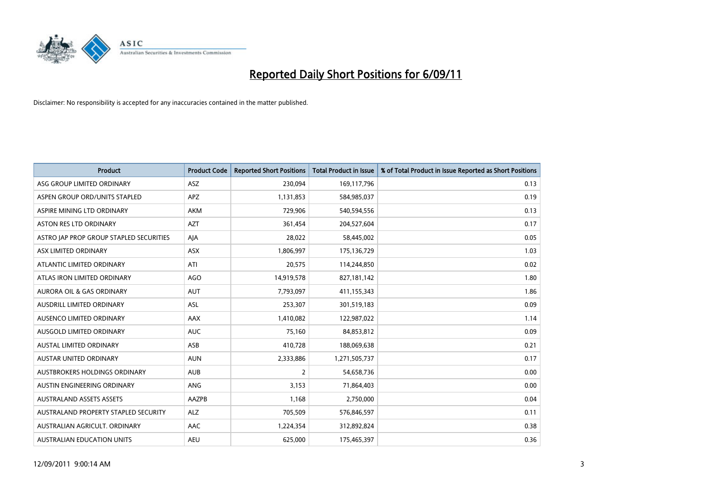

| <b>Product</b>                          | <b>Product Code</b> | <b>Reported Short Positions</b> | Total Product in Issue | % of Total Product in Issue Reported as Short Positions |
|-----------------------------------------|---------------------|---------------------------------|------------------------|---------------------------------------------------------|
| ASG GROUP LIMITED ORDINARY              | <b>ASZ</b>          | 230,094                         | 169,117,796            | 0.13                                                    |
| ASPEN GROUP ORD/UNITS STAPLED           | APZ                 | 1,131,853                       | 584,985,037            | 0.19                                                    |
| ASPIRE MINING LTD ORDINARY              | <b>AKM</b>          | 729,906                         | 540,594,556            | 0.13                                                    |
| ASTON RES LTD ORDINARY                  | <b>AZT</b>          | 361,454                         | 204,527,604            | 0.17                                                    |
| ASTRO JAP PROP GROUP STAPLED SECURITIES | AJA                 | 28,022                          | 58,445,002             | 0.05                                                    |
| ASX LIMITED ORDINARY                    | <b>ASX</b>          | 1,806,997                       | 175,136,729            | 1.03                                                    |
| ATLANTIC LIMITED ORDINARY               | ATI                 | 20,575                          | 114,244,850            | 0.02                                                    |
| ATLAS IRON LIMITED ORDINARY             | <b>AGO</b>          | 14,919,578                      | 827,181,142            | 1.80                                                    |
| AURORA OIL & GAS ORDINARY               | <b>AUT</b>          | 7,793,097                       | 411,155,343            | 1.86                                                    |
| AUSDRILL LIMITED ORDINARY               | <b>ASL</b>          | 253,307                         | 301,519,183            | 0.09                                                    |
| AUSENCO LIMITED ORDINARY                | AAX                 | 1,410,082                       | 122,987,022            | 1.14                                                    |
| AUSGOLD LIMITED ORDINARY                | <b>AUC</b>          | 75,160                          | 84,853,812             | 0.09                                                    |
| <b>AUSTAL LIMITED ORDINARY</b>          | ASB                 | 410,728                         | 188,069,638            | 0.21                                                    |
| <b>AUSTAR UNITED ORDINARY</b>           | <b>AUN</b>          | 2,333,886                       | 1,271,505,737          | 0.17                                                    |
| AUSTBROKERS HOLDINGS ORDINARY           | <b>AUB</b>          | 2                               | 54,658,736             | 0.00                                                    |
| AUSTIN ENGINEERING ORDINARY             | <b>ANG</b>          | 3,153                           | 71,864,403             | 0.00                                                    |
| <b>AUSTRALAND ASSETS ASSETS</b>         | AAZPB               | 1,168                           | 2,750,000              | 0.04                                                    |
| AUSTRALAND PROPERTY STAPLED SECURITY    | <b>ALZ</b>          | 705,509                         | 576,846,597            | 0.11                                                    |
| AUSTRALIAN AGRICULT, ORDINARY           | AAC                 | 1,224,354                       | 312,892,824            | 0.38                                                    |
| AUSTRALIAN EDUCATION UNITS              | <b>AEU</b>          | 625,000                         | 175,465,397            | 0.36                                                    |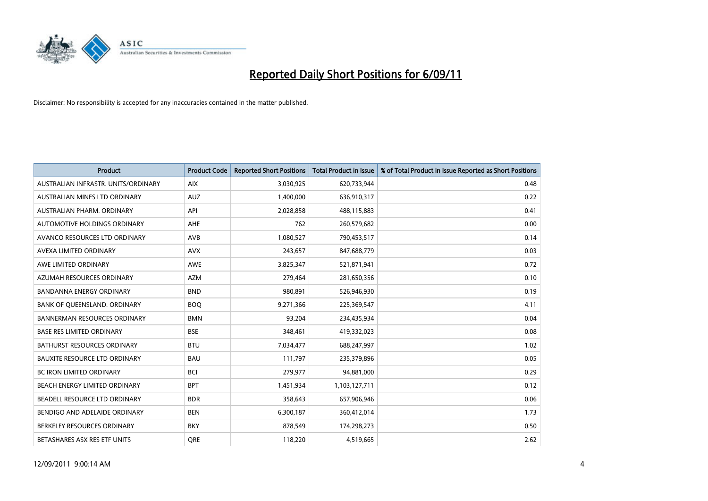

| Product                              | <b>Product Code</b> | <b>Reported Short Positions</b> | <b>Total Product in Issue</b> | % of Total Product in Issue Reported as Short Positions |
|--------------------------------------|---------------------|---------------------------------|-------------------------------|---------------------------------------------------------|
| AUSTRALIAN INFRASTR, UNITS/ORDINARY  | <b>AIX</b>          | 3,030,925                       | 620,733,944                   | 0.48                                                    |
| AUSTRALIAN MINES LTD ORDINARY        | <b>AUZ</b>          | 1,400,000                       | 636,910,317                   | 0.22                                                    |
| AUSTRALIAN PHARM, ORDINARY           | API                 | 2,028,858                       | 488,115,883                   | 0.41                                                    |
| AUTOMOTIVE HOLDINGS ORDINARY         | <b>AHE</b>          | 762                             | 260,579,682                   | 0.00                                                    |
| AVANCO RESOURCES LTD ORDINARY        | AVB                 | 1,080,527                       | 790,453,517                   | 0.14                                                    |
| AVEXA LIMITED ORDINARY               | <b>AVX</b>          | 243,657                         | 847,688,779                   | 0.03                                                    |
| AWE LIMITED ORDINARY                 | <b>AWE</b>          | 3,825,347                       | 521,871,941                   | 0.72                                                    |
| AZUMAH RESOURCES ORDINARY            | <b>AZM</b>          | 279,464                         | 281,650,356                   | 0.10                                                    |
| <b>BANDANNA ENERGY ORDINARY</b>      | <b>BND</b>          | 980,891                         | 526,946,930                   | 0.19                                                    |
| BANK OF OUEENSLAND, ORDINARY         | <b>BOQ</b>          | 9,271,366                       | 225,369,547                   | 4.11                                                    |
| <b>BANNERMAN RESOURCES ORDINARY</b>  | <b>BMN</b>          | 93,204                          | 234,435,934                   | 0.04                                                    |
| BASE RES LIMITED ORDINARY            | <b>BSE</b>          | 348,461                         | 419,332,023                   | 0.08                                                    |
| <b>BATHURST RESOURCES ORDINARY</b>   | <b>BTU</b>          | 7,034,477                       | 688,247,997                   | 1.02                                                    |
| <b>BAUXITE RESOURCE LTD ORDINARY</b> | <b>BAU</b>          | 111,797                         | 235,379,896                   | 0.05                                                    |
| <b>BC IRON LIMITED ORDINARY</b>      | <b>BCI</b>          | 279,977                         | 94,881,000                    | 0.29                                                    |
| BEACH ENERGY LIMITED ORDINARY        | <b>BPT</b>          | 1,451,934                       | 1,103,127,711                 | 0.12                                                    |
| BEADELL RESOURCE LTD ORDINARY        | <b>BDR</b>          | 358,643                         | 657,906,946                   | 0.06                                                    |
| BENDIGO AND ADELAIDE ORDINARY        | <b>BEN</b>          | 6,300,187                       | 360,412,014                   | 1.73                                                    |
| BERKELEY RESOURCES ORDINARY          | <b>BKY</b>          | 878,549                         | 174,298,273                   | 0.50                                                    |
| BETASHARES ASX RES ETF UNITS         | <b>ORE</b>          | 118,220                         | 4,519,665                     | 2.62                                                    |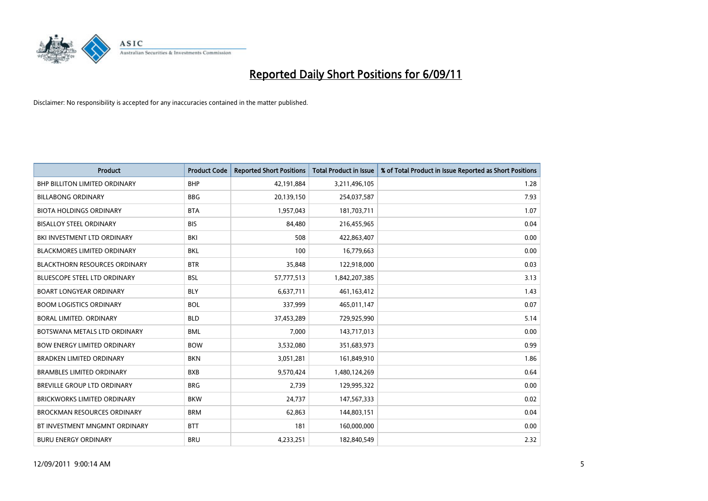

| Product                              | <b>Product Code</b> | <b>Reported Short Positions</b> | <b>Total Product in Issue</b> | % of Total Product in Issue Reported as Short Positions |
|--------------------------------------|---------------------|---------------------------------|-------------------------------|---------------------------------------------------------|
| <b>BHP BILLITON LIMITED ORDINARY</b> | <b>BHP</b>          | 42,191,884                      | 3,211,496,105                 | 1.28                                                    |
| <b>BILLABONG ORDINARY</b>            | <b>BBG</b>          | 20,139,150                      | 254,037,587                   | 7.93                                                    |
| <b>BIOTA HOLDINGS ORDINARY</b>       | <b>BTA</b>          | 1,957,043                       | 181,703,711                   | 1.07                                                    |
| <b>BISALLOY STEEL ORDINARY</b>       | <b>BIS</b>          | 84,480                          | 216,455,965                   | 0.04                                                    |
| BKI INVESTMENT LTD ORDINARY          | <b>BKI</b>          | 508                             | 422,863,407                   | 0.00                                                    |
| <b>BLACKMORES LIMITED ORDINARY</b>   | <b>BKL</b>          | 100                             | 16,779,663                    | 0.00                                                    |
| <b>BLACKTHORN RESOURCES ORDINARY</b> | <b>BTR</b>          | 35,848                          | 122,918,000                   | 0.03                                                    |
| <b>BLUESCOPE STEEL LTD ORDINARY</b>  | <b>BSL</b>          | 57,777,513                      | 1,842,207,385                 | 3.13                                                    |
| <b>BOART LONGYEAR ORDINARY</b>       | <b>BLY</b>          | 6,637,711                       | 461,163,412                   | 1.43                                                    |
| <b>BOOM LOGISTICS ORDINARY</b>       | <b>BOL</b>          | 337,999                         | 465,011,147                   | 0.07                                                    |
| BORAL LIMITED, ORDINARY              | <b>BLD</b>          | 37,453,289                      | 729,925,990                   | 5.14                                                    |
| BOTSWANA METALS LTD ORDINARY         | <b>BML</b>          | 7,000                           | 143,717,013                   | 0.00                                                    |
| <b>BOW ENERGY LIMITED ORDINARY</b>   | <b>BOW</b>          | 3,532,080                       | 351,683,973                   | 0.99                                                    |
| <b>BRADKEN LIMITED ORDINARY</b>      | <b>BKN</b>          | 3,051,281                       | 161,849,910                   | 1.86                                                    |
| <b>BRAMBLES LIMITED ORDINARY</b>     | <b>BXB</b>          | 9,570,424                       | 1,480,124,269                 | 0.64                                                    |
| <b>BREVILLE GROUP LTD ORDINARY</b>   | <b>BRG</b>          | 2.739                           | 129,995,322                   | 0.00                                                    |
| <b>BRICKWORKS LIMITED ORDINARY</b>   | <b>BKW</b>          | 24,737                          | 147,567,333                   | 0.02                                                    |
| <b>BROCKMAN RESOURCES ORDINARY</b>   | <b>BRM</b>          | 62,863                          | 144,803,151                   | 0.04                                                    |
| BT INVESTMENT MNGMNT ORDINARY        | <b>BTT</b>          | 181                             | 160,000,000                   | 0.00                                                    |
| <b>BURU ENERGY ORDINARY</b>          | <b>BRU</b>          | 4,233,251                       | 182,840,549                   | 2.32                                                    |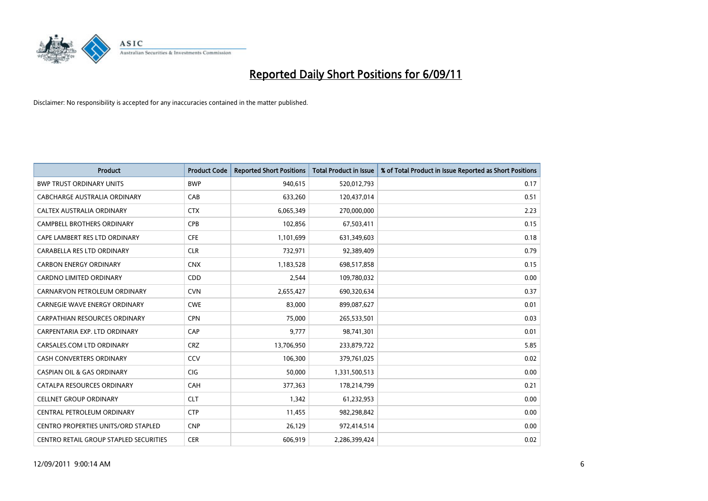

| Product                                       | <b>Product Code</b> | <b>Reported Short Positions</b> | Total Product in Issue | % of Total Product in Issue Reported as Short Positions |
|-----------------------------------------------|---------------------|---------------------------------|------------------------|---------------------------------------------------------|
| <b>BWP TRUST ORDINARY UNITS</b>               | <b>BWP</b>          | 940,615                         | 520,012,793            | 0.17                                                    |
| CABCHARGE AUSTRALIA ORDINARY                  | CAB                 | 633,260                         | 120,437,014            | 0.51                                                    |
| CALTEX AUSTRALIA ORDINARY                     | <b>CTX</b>          | 6,065,349                       | 270,000,000            | 2.23                                                    |
| CAMPBELL BROTHERS ORDINARY                    | <b>CPB</b>          | 102,856                         | 67,503,411             | 0.15                                                    |
| CAPE LAMBERT RES LTD ORDINARY                 | <b>CFE</b>          | 1,101,699                       | 631,349,603            | 0.18                                                    |
| CARABELLA RES LTD ORDINARY                    | <b>CLR</b>          | 732,971                         | 92,389,409             | 0.79                                                    |
| <b>CARBON ENERGY ORDINARY</b>                 | <b>CNX</b>          | 1,183,528                       | 698,517,858            | 0.15                                                    |
| <b>CARDNO LIMITED ORDINARY</b>                | CDD                 | 2,544                           | 109,780,032            | 0.00                                                    |
| CARNARVON PETROLEUM ORDINARY                  | <b>CVN</b>          | 2,655,427                       | 690,320,634            | 0.37                                                    |
| <b>CARNEGIE WAVE ENERGY ORDINARY</b>          | <b>CWE</b>          | 83,000                          | 899,087,627            | 0.01                                                    |
| <b>CARPATHIAN RESOURCES ORDINARY</b>          | <b>CPN</b>          | 75,000                          | 265,533,501            | 0.03                                                    |
| CARPENTARIA EXP. LTD ORDINARY                 | CAP                 | 9,777                           | 98,741,301             | 0.01                                                    |
| CARSALES.COM LTD ORDINARY                     | <b>CRZ</b>          | 13,706,950                      | 233,879,722            | 5.85                                                    |
| <b>CASH CONVERTERS ORDINARY</b>               | CCV                 | 106.300                         | 379,761,025            | 0.02                                                    |
| <b>CASPIAN OIL &amp; GAS ORDINARY</b>         | <b>CIG</b>          | 50,000                          | 1,331,500,513          | 0.00                                                    |
| CATALPA RESOURCES ORDINARY                    | CAH                 | 377,363                         | 178,214,799            | 0.21                                                    |
| <b>CELLNET GROUP ORDINARY</b>                 | <b>CLT</b>          | 1,342                           | 61,232,953             | 0.00                                                    |
| CENTRAL PETROLEUM ORDINARY                    | <b>CTP</b>          | 11,455                          | 982,298,842            | 0.00                                                    |
| <b>CENTRO PROPERTIES UNITS/ORD STAPLED</b>    | <b>CNP</b>          | 26,129                          | 972,414,514            | 0.00                                                    |
| <b>CENTRO RETAIL GROUP STAPLED SECURITIES</b> | <b>CER</b>          | 606,919                         | 2,286,399,424          | 0.02                                                    |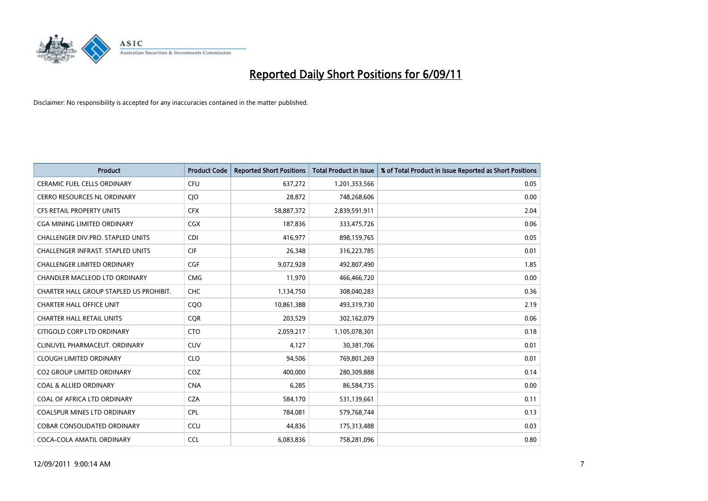

| Product                                  | <b>Product Code</b> | <b>Reported Short Positions</b> | Total Product in Issue | % of Total Product in Issue Reported as Short Positions |
|------------------------------------------|---------------------|---------------------------------|------------------------|---------------------------------------------------------|
| <b>CERAMIC FUEL CELLS ORDINARY</b>       | <b>CFU</b>          | 637,272                         | 1,201,353,566          | 0.05                                                    |
| <b>CERRO RESOURCES NL ORDINARY</b>       | CJO                 | 28,872                          | 748,268,606            | 0.00                                                    |
| <b>CFS RETAIL PROPERTY UNITS</b>         | <b>CFX</b>          | 58,887,372                      | 2,839,591,911          | 2.04                                                    |
| <b>CGA MINING LIMITED ORDINARY</b>       | <b>CGX</b>          | 187,836                         | 333,475,726            | 0.06                                                    |
| CHALLENGER DIV.PRO. STAPLED UNITS        | <b>CDI</b>          | 416.977                         | 898,159,765            | 0.05                                                    |
| <b>CHALLENGER INFRAST, STAPLED UNITS</b> | <b>CIF</b>          | 26,348                          | 316,223,785            | 0.01                                                    |
| CHALLENGER LIMITED ORDINARY              | <b>CGF</b>          | 9,072,928                       | 492,807,490            | 1.85                                                    |
| CHANDLER MACLEOD LTD ORDINARY            | <b>CMG</b>          | 11,970                          | 466,466,720            | 0.00                                                    |
| CHARTER HALL GROUP STAPLED US PROHIBIT.  | <b>CHC</b>          | 1,134,750                       | 308,040,283            | 0.36                                                    |
| <b>CHARTER HALL OFFICE UNIT</b>          | CQ <sub>O</sub>     | 10,861,388                      | 493,319,730            | 2.19                                                    |
| <b>CHARTER HALL RETAIL UNITS</b>         | <b>COR</b>          | 203,529                         | 302,162,079            | 0.06                                                    |
| CITIGOLD CORP LTD ORDINARY               | <b>CTO</b>          | 2,059,217                       | 1,105,078,301          | 0.18                                                    |
| CLINUVEL PHARMACEUT. ORDINARY            | <b>CUV</b>          | 4,127                           | 30,381,706             | 0.01                                                    |
| <b>CLOUGH LIMITED ORDINARY</b>           | <b>CLO</b>          | 94,506                          | 769,801,269            | 0.01                                                    |
| <b>CO2 GROUP LIMITED ORDINARY</b>        | COZ                 | 400.000                         | 280,309,888            | 0.14                                                    |
| <b>COAL &amp; ALLIED ORDINARY</b>        | <b>CNA</b>          | 6,285                           | 86,584,735             | 0.00                                                    |
| COAL OF AFRICA LTD ORDINARY              | <b>CZA</b>          | 584,170                         | 531,139,661            | 0.11                                                    |
| COALSPUR MINES LTD ORDINARY              | <b>CPL</b>          | 784,081                         | 579,768,744            | 0.13                                                    |
| <b>COBAR CONSOLIDATED ORDINARY</b>       | CCU                 | 44,836                          | 175,313,488            | 0.03                                                    |
| COCA-COLA AMATIL ORDINARY                | <b>CCL</b>          | 6,083,836                       | 758,281,096            | 0.80                                                    |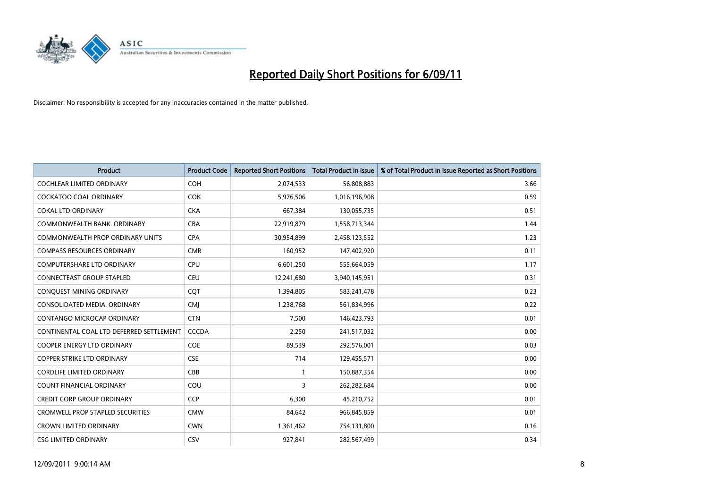

| <b>Product</b>                           | <b>Product Code</b> | <b>Reported Short Positions</b> | Total Product in Issue | % of Total Product in Issue Reported as Short Positions |
|------------------------------------------|---------------------|---------------------------------|------------------------|---------------------------------------------------------|
| <b>COCHLEAR LIMITED ORDINARY</b>         | <b>COH</b>          | 2,074,533                       | 56,808,883             | 3.66                                                    |
| COCKATOO COAL ORDINARY                   | <b>COK</b>          | 5,976,506                       | 1,016,196,908          | 0.59                                                    |
| <b>COKAL LTD ORDINARY</b>                | <b>CKA</b>          | 667,384                         | 130,055,735            | 0.51                                                    |
| COMMONWEALTH BANK, ORDINARY              | <b>CBA</b>          | 22,919,879                      | 1,558,713,344          | 1.44                                                    |
| <b>COMMONWEALTH PROP ORDINARY UNITS</b>  | <b>CPA</b>          | 30,954,899                      | 2,458,123,552          | 1.23                                                    |
| <b>COMPASS RESOURCES ORDINARY</b>        | <b>CMR</b>          | 160,952                         | 147,402,920            | 0.11                                                    |
| <b>COMPUTERSHARE LTD ORDINARY</b>        | <b>CPU</b>          | 6,601,250                       | 555,664,059            | 1.17                                                    |
| CONNECTEAST GROUP STAPLED                | <b>CEU</b>          | 12,241,680                      | 3,940,145,951          | 0.31                                                    |
| CONQUEST MINING ORDINARY                 | <b>COT</b>          | 1,394,805                       | 583,241,478            | 0.23                                                    |
| CONSOLIDATED MEDIA, ORDINARY             | <b>CMI</b>          | 1,238,768                       | 561,834,996            | 0.22                                                    |
| <b>CONTANGO MICROCAP ORDINARY</b>        | <b>CTN</b>          | 7,500                           | 146,423,793            | 0.01                                                    |
| CONTINENTAL COAL LTD DEFERRED SETTLEMENT | <b>CCCDA</b>        | 2,250                           | 241,517,032            | 0.00                                                    |
| <b>COOPER ENERGY LTD ORDINARY</b>        | <b>COE</b>          | 89,539                          | 292,576,001            | 0.03                                                    |
| <b>COPPER STRIKE LTD ORDINARY</b>        | <b>CSE</b>          | 714                             | 129,455,571            | 0.00                                                    |
| <b>CORDLIFE LIMITED ORDINARY</b>         | CBB                 |                                 | 150,887,354            | 0.00                                                    |
| <b>COUNT FINANCIAL ORDINARY</b>          | COU                 | 3                               | 262,282,684            | 0.00                                                    |
| <b>CREDIT CORP GROUP ORDINARY</b>        | <b>CCP</b>          | 6,300                           | 45,210,752             | 0.01                                                    |
| <b>CROMWELL PROP STAPLED SECURITIES</b>  | <b>CMW</b>          | 84,642                          | 966,845,859            | 0.01                                                    |
| <b>CROWN LIMITED ORDINARY</b>            | <b>CWN</b>          | 1,361,462                       | 754,131,800            | 0.16                                                    |
| <b>CSG LIMITED ORDINARY</b>              | <b>CSV</b>          | 927,841                         | 282,567,499            | 0.34                                                    |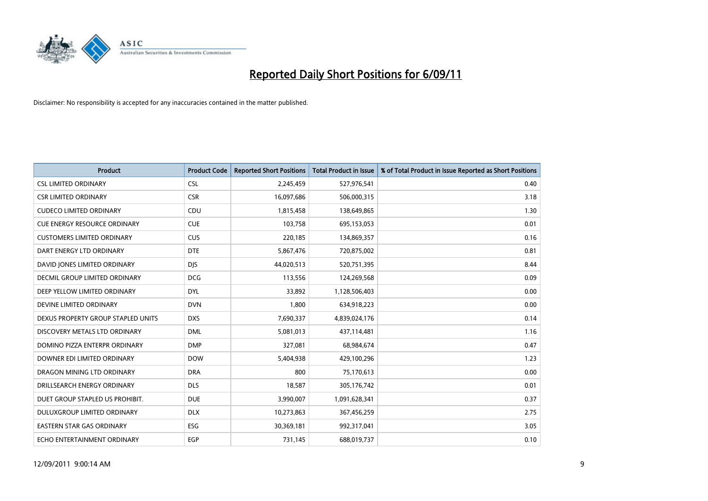

| Product                             | <b>Product Code</b> | <b>Reported Short Positions</b> | Total Product in Issue | % of Total Product in Issue Reported as Short Positions |
|-------------------------------------|---------------------|---------------------------------|------------------------|---------------------------------------------------------|
| <b>CSL LIMITED ORDINARY</b>         | <b>CSL</b>          | 2,245,459                       | 527,976,541            | 0.40                                                    |
| <b>CSR LIMITED ORDINARY</b>         | <b>CSR</b>          | 16,097,686                      | 506,000,315            | 3.18                                                    |
| <b>CUDECO LIMITED ORDINARY</b>      | CDU                 | 1,815,458                       | 138,649,865            | 1.30                                                    |
| <b>CUE ENERGY RESOURCE ORDINARY</b> | <b>CUE</b>          | 103,758                         | 695,153,053            | 0.01                                                    |
| <b>CUSTOMERS LIMITED ORDINARY</b>   | <b>CUS</b>          | 220,185                         | 134,869,357            | 0.16                                                    |
| DART ENERGY LTD ORDINARY            | <b>DTE</b>          | 5,867,476                       | 720,875,002            | 0.81                                                    |
| DAVID JONES LIMITED ORDINARY        | <b>DJS</b>          | 44,020,513                      | 520,751,395            | 8.44                                                    |
| DECMIL GROUP LIMITED ORDINARY       | <b>DCG</b>          | 113,556                         | 124,269,568            | 0.09                                                    |
| DEEP YELLOW LIMITED ORDINARY        | <b>DYL</b>          | 33,892                          | 1,128,506,403          | 0.00                                                    |
| DEVINE LIMITED ORDINARY             | <b>DVN</b>          | 1,800                           | 634,918,223            | 0.00                                                    |
| DEXUS PROPERTY GROUP STAPLED UNITS  | <b>DXS</b>          | 7,690,337                       | 4,839,024,176          | 0.14                                                    |
| DISCOVERY METALS LTD ORDINARY       | <b>DML</b>          | 5,081,013                       | 437,114,481            | 1.16                                                    |
| DOMINO PIZZA ENTERPR ORDINARY       | <b>DMP</b>          | 327,081                         | 68,984,674             | 0.47                                                    |
| DOWNER EDI LIMITED ORDINARY         | <b>DOW</b>          | 5,404,938                       | 429,100,296            | 1.23                                                    |
| DRAGON MINING LTD ORDINARY          | <b>DRA</b>          | 800                             | 75,170,613             | 0.00                                                    |
| DRILLSEARCH ENERGY ORDINARY         | <b>DLS</b>          | 18,587                          | 305,176,742            | 0.01                                                    |
| DUET GROUP STAPLED US PROHIBIT.     | <b>DUE</b>          | 3,990,007                       | 1,091,628,341          | 0.37                                                    |
| DULUXGROUP LIMITED ORDINARY         | <b>DLX</b>          | 10,273,863                      | 367,456,259            | 2.75                                                    |
| <b>EASTERN STAR GAS ORDINARY</b>    | ESG                 | 30,369,181                      | 992,317,041            | 3.05                                                    |
| ECHO ENTERTAINMENT ORDINARY         | EGP                 | 731,145                         | 688,019,737            | 0.10                                                    |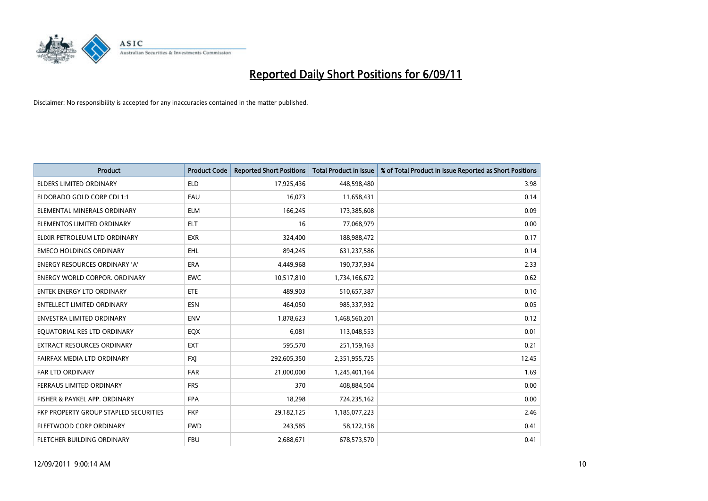

| Product                                      | <b>Product Code</b> | <b>Reported Short Positions</b> | Total Product in Issue | % of Total Product in Issue Reported as Short Positions |
|----------------------------------------------|---------------------|---------------------------------|------------------------|---------------------------------------------------------|
| <b>ELDERS LIMITED ORDINARY</b>               | <b>ELD</b>          | 17,925,436                      | 448,598,480            | 3.98                                                    |
| ELDORADO GOLD CORP CDI 1:1                   | EAU                 | 16,073                          | 11,658,431             | 0.14                                                    |
| ELEMENTAL MINERALS ORDINARY                  | <b>ELM</b>          | 166,245                         | 173,385,608            | 0.09                                                    |
| ELEMENTOS LIMITED ORDINARY                   | <b>ELT</b>          | 16                              | 77,068,979             | 0.00                                                    |
| ELIXIR PETROLEUM LTD ORDINARY                | <b>EXR</b>          | 324,400                         | 188,988,472            | 0.17                                                    |
| <b>EMECO HOLDINGS ORDINARY</b>               | <b>EHL</b>          | 894,245                         | 631,237,586            | 0.14                                                    |
| <b>ENERGY RESOURCES ORDINARY 'A'</b>         | <b>ERA</b>          | 4,449,968                       | 190,737,934            | 2.33                                                    |
| <b>ENERGY WORLD CORPOR, ORDINARY</b>         | <b>EWC</b>          | 10,517,810                      | 1,734,166,672          | 0.62                                                    |
| ENTEK ENERGY LTD ORDINARY                    | <b>ETE</b>          | 489,903                         | 510,657,387            | 0.10                                                    |
| <b>ENTELLECT LIMITED ORDINARY</b>            | <b>ESN</b>          | 464,050                         | 985,337,932            | 0.05                                                    |
| ENVESTRA LIMITED ORDINARY                    | <b>ENV</b>          | 1,878,623                       | 1,468,560,201          | 0.12                                                    |
| EQUATORIAL RES LTD ORDINARY                  | EQX                 | 6,081                           | 113,048,553            | 0.01                                                    |
| <b>EXTRACT RESOURCES ORDINARY</b>            | <b>EXT</b>          | 595,570                         | 251,159,163            | 0.21                                                    |
| FAIRFAX MEDIA LTD ORDINARY                   | <b>FXI</b>          | 292,605,350                     | 2,351,955,725          | 12.45                                                   |
| <b>FAR LTD ORDINARY</b>                      | <b>FAR</b>          | 21,000,000                      | 1,245,401,164          | 1.69                                                    |
| FERRAUS LIMITED ORDINARY                     | <b>FRS</b>          | 370                             | 408,884,504            | 0.00                                                    |
| FISHER & PAYKEL APP. ORDINARY                | <b>FPA</b>          | 18,298                          | 724,235,162            | 0.00                                                    |
| <b>FKP PROPERTY GROUP STAPLED SECURITIES</b> | <b>FKP</b>          | 29,182,125                      | 1,185,077,223          | 2.46                                                    |
| FLEETWOOD CORP ORDINARY                      | <b>FWD</b>          | 243,585                         | 58,122,158             | 0.41                                                    |
| FLETCHER BUILDING ORDINARY                   | <b>FBU</b>          | 2,688,671                       | 678,573,570            | 0.41                                                    |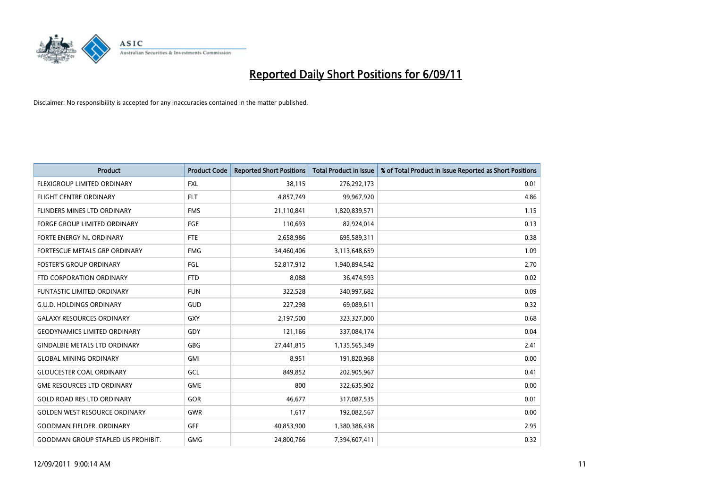

| <b>Product</b>                            | <b>Product Code</b> | <b>Reported Short Positions</b> | <b>Total Product in Issue</b> | % of Total Product in Issue Reported as Short Positions |
|-------------------------------------------|---------------------|---------------------------------|-------------------------------|---------------------------------------------------------|
| FLEXIGROUP LIMITED ORDINARY               | <b>FXL</b>          | 38,115                          | 276,292,173                   | 0.01                                                    |
| FLIGHT CENTRE ORDINARY                    | <b>FLT</b>          | 4,857,749                       | 99,967,920                    | 4.86                                                    |
| <b>FLINDERS MINES LTD ORDINARY</b>        | <b>FMS</b>          | 21,110,841                      | 1,820,839,571                 | 1.15                                                    |
| <b>FORGE GROUP LIMITED ORDINARY</b>       | FGE                 | 110,693                         | 82,924,014                    | 0.13                                                    |
| FORTE ENERGY NL ORDINARY                  | <b>FTE</b>          | 2,658,986                       | 695,589,311                   | 0.38                                                    |
| FORTESCUE METALS GRP ORDINARY             | <b>FMG</b>          | 34,460,406                      | 3,113,648,659                 | 1.09                                                    |
| <b>FOSTER'S GROUP ORDINARY</b>            | FGL                 | 52,817,912                      | 1,940,894,542                 | 2.70                                                    |
| FTD CORPORATION ORDINARY                  | <b>FTD</b>          | 8,088                           | 36,474,593                    | 0.02                                                    |
| FUNTASTIC LIMITED ORDINARY                | <b>FUN</b>          | 322,528                         | 340,997,682                   | 0.09                                                    |
| <b>G.U.D. HOLDINGS ORDINARY</b>           | <b>GUD</b>          | 227,298                         | 69,089,611                    | 0.32                                                    |
| <b>GALAXY RESOURCES ORDINARY</b>          | GXY                 | 2,197,500                       | 323,327,000                   | 0.68                                                    |
| <b>GEODYNAMICS LIMITED ORDINARY</b>       | GDY                 | 121,166                         | 337,084,174                   | 0.04                                                    |
| <b>GINDALBIE METALS LTD ORDINARY</b>      | <b>GBG</b>          | 27,441,815                      | 1,135,565,349                 | 2.41                                                    |
| <b>GLOBAL MINING ORDINARY</b>             | <b>GMI</b>          | 8,951                           | 191,820,968                   | 0.00                                                    |
| <b>GLOUCESTER COAL ORDINARY</b>           | <b>GCL</b>          | 849,852                         | 202,905,967                   | 0.41                                                    |
| <b>GME RESOURCES LTD ORDINARY</b>         | <b>GME</b>          | 800                             | 322,635,902                   | 0.00                                                    |
| <b>GOLD ROAD RES LTD ORDINARY</b>         | GOR                 | 46,677                          | 317,087,535                   | 0.01                                                    |
| <b>GOLDEN WEST RESOURCE ORDINARY</b>      | <b>GWR</b>          | 1,617                           | 192,082,567                   | 0.00                                                    |
| <b>GOODMAN FIELDER, ORDINARY</b>          | <b>GFF</b>          | 40,853,900                      | 1,380,386,438                 | 2.95                                                    |
| <b>GOODMAN GROUP STAPLED US PROHIBIT.</b> | <b>GMG</b>          | 24,800,766                      | 7,394,607,411                 | 0.32                                                    |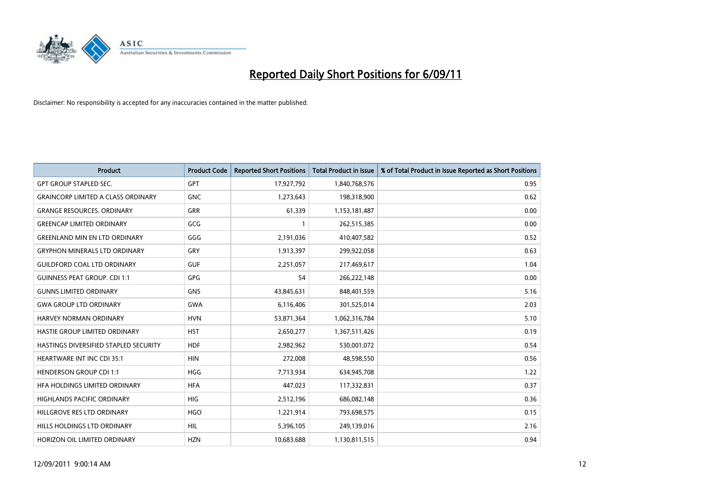

| <b>Product</b>                            | <b>Product Code</b> | <b>Reported Short Positions</b> | Total Product in Issue | % of Total Product in Issue Reported as Short Positions |
|-------------------------------------------|---------------------|---------------------------------|------------------------|---------------------------------------------------------|
| <b>GPT GROUP STAPLED SEC.</b>             | <b>GPT</b>          | 17,927,792                      | 1,840,768,576          | 0.95                                                    |
| <b>GRAINCORP LIMITED A CLASS ORDINARY</b> | <b>GNC</b>          | 1,273,643                       | 198,318,900            | 0.62                                                    |
| <b>GRANGE RESOURCES. ORDINARY</b>         | <b>GRR</b>          | 61,339                          | 1,153,181,487          | 0.00                                                    |
| <b>GREENCAP LIMITED ORDINARY</b>          | GCG                 |                                 | 262,515,385            | 0.00                                                    |
| <b>GREENLAND MIN EN LTD ORDINARY</b>      | GGG                 | 2,191,036                       | 410,407,582            | 0.52                                                    |
| <b>GRYPHON MINERALS LTD ORDINARY</b>      | GRY                 | 1,913,397                       | 299,922,058            | 0.63                                                    |
| <b>GUILDFORD COAL LTD ORDINARY</b>        | <b>GUF</b>          | 2,251,057                       | 217,469,617            | 1.04                                                    |
| <b>GUINNESS PEAT GROUP. CDI 1:1</b>       | <b>GPG</b>          | 54                              | 266,222,148            | 0.00                                                    |
| <b>GUNNS LIMITED ORDINARY</b>             | <b>GNS</b>          | 43,845,631                      | 848,401,559            | 5.16                                                    |
| <b>GWA GROUP LTD ORDINARY</b>             | <b>GWA</b>          | 6,116,406                       | 301,525,014            | 2.03                                                    |
| HARVEY NORMAN ORDINARY                    | <b>HVN</b>          | 53,871,364                      | 1,062,316,784          | 5.10                                                    |
| HASTIE GROUP LIMITED ORDINARY             | <b>HST</b>          | 2,650,277                       | 1,367,511,426          | 0.19                                                    |
| HASTINGS DIVERSIFIED STAPLED SECURITY     | <b>HDF</b>          | 2,982,962                       | 530,001,072            | 0.54                                                    |
| <b>HEARTWARE INT INC CDI 35:1</b>         | <b>HIN</b>          | 272,008                         | 48,598,550             | 0.56                                                    |
| <b>HENDERSON GROUP CDI 1:1</b>            | <b>HGG</b>          | 7,713,934                       | 634,945,708            | 1.22                                                    |
| HFA HOLDINGS LIMITED ORDINARY             | <b>HFA</b>          | 447,023                         | 117,332,831            | 0.37                                                    |
| <b>HIGHLANDS PACIFIC ORDINARY</b>         | <b>HIG</b>          | 2,512,196                       | 686,082,148            | 0.36                                                    |
| HILLGROVE RES LTD ORDINARY                | <b>HGO</b>          | 1,221,914                       | 793,698,575            | 0.15                                                    |
| HILLS HOLDINGS LTD ORDINARY               | <b>HIL</b>          | 5,396,105                       | 249,139,016            | 2.16                                                    |
| HORIZON OIL LIMITED ORDINARY              | <b>HZN</b>          | 10,683,688                      | 1,130,811,515          | 0.94                                                    |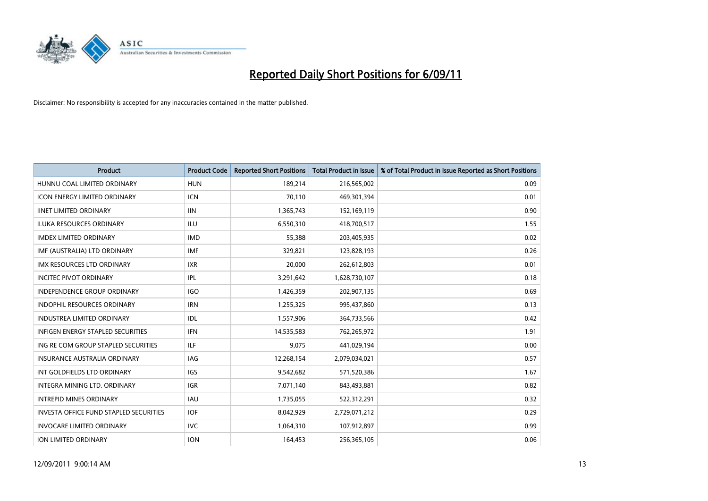

| Product                                  | <b>Product Code</b> | <b>Reported Short Positions</b> | Total Product in Issue | % of Total Product in Issue Reported as Short Positions |
|------------------------------------------|---------------------|---------------------------------|------------------------|---------------------------------------------------------|
| HUNNU COAL LIMITED ORDINARY              | <b>HUN</b>          | 189,214                         | 216,565,002            | 0.09                                                    |
| ICON ENERGY LIMITED ORDINARY             | ICN                 | 70,110                          | 469,301,394            | 0.01                                                    |
| <b>IINET LIMITED ORDINARY</b>            | <b>IIN</b>          | 1,365,743                       | 152,169,119            | 0.90                                                    |
| ILUKA RESOURCES ORDINARY                 | ILU                 | 6,550,310                       | 418,700,517            | 1.55                                                    |
| <b>IMDEX LIMITED ORDINARY</b>            | <b>IMD</b>          | 55,388                          | 203,405,935            | 0.02                                                    |
| IMF (AUSTRALIA) LTD ORDINARY             | <b>IMF</b>          | 329,821                         | 123,828,193            | 0.26                                                    |
| <b>IMX RESOURCES LTD ORDINARY</b>        | <b>IXR</b>          | 20,000                          | 262,612,803            | 0.01                                                    |
| <b>INCITEC PIVOT ORDINARY</b>            | <b>IPL</b>          | 3,291,642                       | 1,628,730,107          | 0.18                                                    |
| INDEPENDENCE GROUP ORDINARY              | <b>IGO</b>          | 1,426,359                       | 202,907,135            | 0.69                                                    |
| <b>INDOPHIL RESOURCES ORDINARY</b>       | <b>IRN</b>          | 1,255,325                       | 995,437,860            | 0.13                                                    |
| INDUSTREA LIMITED ORDINARY               | <b>IDL</b>          | 1,557,906                       | 364,733,566            | 0.42                                                    |
| <b>INFIGEN ENERGY STAPLED SECURITIES</b> | <b>IFN</b>          | 14,535,583                      | 762,265,972            | 1.91                                                    |
| ING RE COM GROUP STAPLED SECURITIES      | <b>ILF</b>          | 9,075                           | 441,029,194            | 0.00                                                    |
| <b>INSURANCE AUSTRALIA ORDINARY</b>      | IAG                 | 12,268,154                      | 2,079,034,021          | 0.57                                                    |
| INT GOLDFIELDS LTD ORDINARY              | <b>IGS</b>          | 9,542,682                       | 571,520,386            | 1.67                                                    |
| INTEGRA MINING LTD. ORDINARY             | <b>IGR</b>          | 7,071,140                       | 843,493,881            | 0.82                                                    |
| <b>INTREPID MINES ORDINARY</b>           | <b>IAU</b>          | 1,735,055                       | 522,312,291            | 0.32                                                    |
| INVESTA OFFICE FUND STAPLED SECURITIES   | <b>IOF</b>          | 8,042,929                       | 2,729,071,212          | 0.29                                                    |
| <b>INVOCARE LIMITED ORDINARY</b>         | <b>IVC</b>          | 1,064,310                       | 107,912,897            | 0.99                                                    |
| <b>ION LIMITED ORDINARY</b>              | <b>ION</b>          | 164,453                         | 256,365,105            | 0.06                                                    |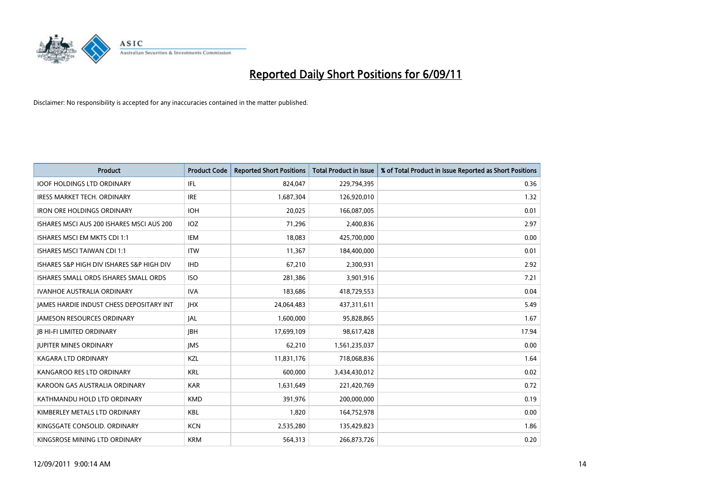

| Product                                         | <b>Product Code</b> | <b>Reported Short Positions</b> | <b>Total Product in Issue</b> | % of Total Product in Issue Reported as Short Positions |
|-------------------------------------------------|---------------------|---------------------------------|-------------------------------|---------------------------------------------------------|
| <b>IOOF HOLDINGS LTD ORDINARY</b>               | <b>IFL</b>          | 824,047                         | 229,794,395                   | 0.36                                                    |
| <b>IRESS MARKET TECH. ORDINARY</b>              | <b>IRE</b>          | 1,687,304                       | 126,920,010                   | 1.32                                                    |
| <b>IRON ORE HOLDINGS ORDINARY</b>               | <b>IOH</b>          | 20,025                          | 166,087,005                   | 0.01                                                    |
| ISHARES MSCI AUS 200 ISHARES MSCI AUS 200       | IOZ                 | 71,296                          | 2,400,836                     | 2.97                                                    |
| ISHARES MSCI EM MKTS CDI 1:1                    | <b>IEM</b>          | 18,083                          | 425,700,000                   | 0.00                                                    |
| <b>ISHARES MSCI TAIWAN CDI 1:1</b>              | <b>ITW</b>          | 11,367                          | 184,400,000                   | 0.01                                                    |
| ISHARES S&P HIGH DIV ISHARES S&P HIGH DIV       | <b>IHD</b>          | 67,210                          | 2,300,931                     | 2.92                                                    |
| ISHARES SMALL ORDS ISHARES SMALL ORDS           | <b>ISO</b>          | 281,386                         | 3,901,916                     | 7.21                                                    |
| <b>IVANHOE AUSTRALIA ORDINARY</b>               | <b>IVA</b>          | 183,686                         | 418,729,553                   | 0.04                                                    |
| <b>IAMES HARDIE INDUST CHESS DEPOSITARY INT</b> | <b>IHX</b>          | 24,064,483                      | 437,311,611                   | 5.49                                                    |
| <b>JAMESON RESOURCES ORDINARY</b>               | <b>JAL</b>          | 1,600,000                       | 95,828,865                    | 1.67                                                    |
| <b>JB HI-FI LIMITED ORDINARY</b>                | <b>IBH</b>          | 17,699,109                      | 98,617,428                    | 17.94                                                   |
| <b>JUPITER MINES ORDINARY</b>                   | <b>IMS</b>          | 62,210                          | 1,561,235,037                 | 0.00                                                    |
| <b>KAGARA LTD ORDINARY</b>                      | KZL                 | 11,831,176                      | 718,068,836                   | 1.64                                                    |
| KANGAROO RES LTD ORDINARY                       | <b>KRL</b>          | 600,000                         | 3,434,430,012                 | 0.02                                                    |
| KAROON GAS AUSTRALIA ORDINARY                   | <b>KAR</b>          | 1,631,649                       | 221,420,769                   | 0.72                                                    |
| KATHMANDU HOLD LTD ORDINARY                     | <b>KMD</b>          | 391,976                         | 200,000,000                   | 0.19                                                    |
| KIMBERLEY METALS LTD ORDINARY                   | KBL                 | 1,820                           | 164,752,978                   | 0.00                                                    |
| KINGSGATE CONSOLID, ORDINARY                    | <b>KCN</b>          | 2,535,280                       | 135,429,823                   | 1.86                                                    |
| KINGSROSE MINING LTD ORDINARY                   | <b>KRM</b>          | 564,313                         | 266,873,726                   | 0.20                                                    |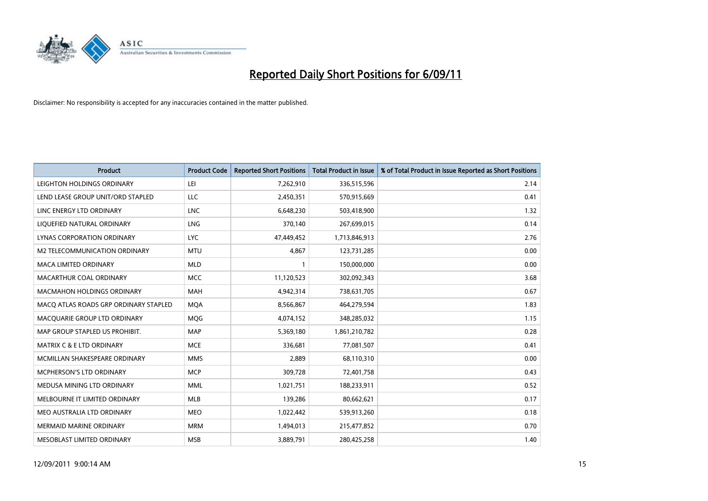

| <b>Product</b>                        | <b>Product Code</b> | <b>Reported Short Positions</b> | <b>Total Product in Issue</b> | % of Total Product in Issue Reported as Short Positions |
|---------------------------------------|---------------------|---------------------------------|-------------------------------|---------------------------------------------------------|
| LEIGHTON HOLDINGS ORDINARY            | LEI                 | 7,262,910                       | 336,515,596                   | 2.14                                                    |
| LEND LEASE GROUP UNIT/ORD STAPLED     | LLC                 | 2,450,351                       | 570,915,669                   | 0.41                                                    |
| LINC ENERGY LTD ORDINARY              | <b>LNC</b>          | 6,648,230                       | 503,418,900                   | 1.32                                                    |
| LIQUEFIED NATURAL ORDINARY            | LNG                 | 370,140                         | 267,699,015                   | 0.14                                                    |
| LYNAS CORPORATION ORDINARY            | <b>LYC</b>          | 47,449,452                      | 1,713,846,913                 | 2.76                                                    |
| M2 TELECOMMUNICATION ORDINARY         | <b>MTU</b>          | 4.867                           | 123,731,285                   | 0.00                                                    |
| MACA LIMITED ORDINARY                 | <b>MLD</b>          |                                 | 150,000,000                   | 0.00                                                    |
| MACARTHUR COAL ORDINARY               | <b>MCC</b>          | 11,120,523                      | 302,092,343                   | 3.68                                                    |
| MACMAHON HOLDINGS ORDINARY            | <b>MAH</b>          | 4,942,314                       | 738,631,705                   | 0.67                                                    |
| MACO ATLAS ROADS GRP ORDINARY STAPLED | <b>MOA</b>          | 8,566,867                       | 464,279,594                   | 1.83                                                    |
| MACQUARIE GROUP LTD ORDINARY          | MQG                 | 4,074,152                       | 348,285,032                   | 1.15                                                    |
| MAP GROUP STAPLED US PROHIBIT.        | <b>MAP</b>          | 5,369,180                       | 1,861,210,782                 | 0.28                                                    |
| <b>MATRIX C &amp; E LTD ORDINARY</b>  | <b>MCE</b>          | 336.681                         | 77,081,507                    | 0.41                                                    |
| MCMILLAN SHAKESPEARE ORDINARY         | <b>MMS</b>          | 2,889                           | 68,110,310                    | 0.00                                                    |
| MCPHERSON'S LTD ORDINARY              | <b>MCP</b>          | 309,728                         | 72,401,758                    | 0.43                                                    |
| MEDUSA MINING LTD ORDINARY            | <b>MML</b>          | 1,021,751                       | 188,233,911                   | 0.52                                                    |
| MELBOURNE IT LIMITED ORDINARY         | <b>MLB</b>          | 139,286                         | 80,662,621                    | 0.17                                                    |
| MEO AUSTRALIA LTD ORDINARY            | <b>MEO</b>          | 1,022,442                       | 539,913,260                   | 0.18                                                    |
| <b>MERMAID MARINE ORDINARY</b>        | <b>MRM</b>          | 1,494,013                       | 215,477,852                   | 0.70                                                    |
| MESOBLAST LIMITED ORDINARY            | <b>MSB</b>          | 3,889,791                       | 280,425,258                   | 1.40                                                    |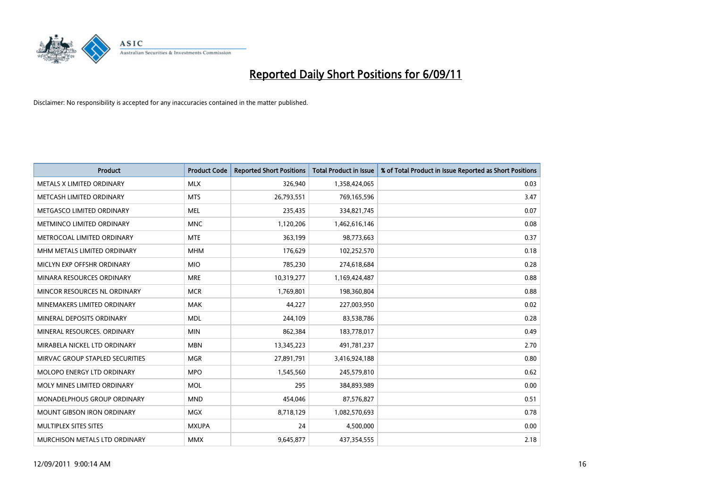

| <b>Product</b>                     | <b>Product Code</b> | <b>Reported Short Positions</b> | <b>Total Product in Issue</b> | % of Total Product in Issue Reported as Short Positions |
|------------------------------------|---------------------|---------------------------------|-------------------------------|---------------------------------------------------------|
| METALS X LIMITED ORDINARY          | <b>MLX</b>          | 326,940                         | 1,358,424,065                 | 0.03                                                    |
| METCASH LIMITED ORDINARY           | <b>MTS</b>          | 26,793,551                      | 769,165,596                   | 3.47                                                    |
| METGASCO LIMITED ORDINARY          | <b>MEL</b>          | 235,435                         | 334,821,745                   | 0.07                                                    |
| <b>METMINCO LIMITED ORDINARY</b>   | <b>MNC</b>          | 1,120,206                       | 1,462,616,146                 | 0.08                                                    |
| METROCOAL LIMITED ORDINARY         | <b>MTE</b>          | 363,199                         | 98,773,663                    | 0.37                                                    |
| MHM METALS LIMITED ORDINARY        | <b>MHM</b>          | 176,629                         | 102,252,570                   | 0.18                                                    |
| MICLYN EXP OFFSHR ORDINARY         | <b>MIO</b>          | 785,230                         | 274,618,684                   | 0.28                                                    |
| MINARA RESOURCES ORDINARY          | <b>MRE</b>          | 10,319,277                      | 1,169,424,487                 | 0.88                                                    |
| MINCOR RESOURCES NL ORDINARY       | <b>MCR</b>          | 1,769,801                       | 198,360,804                   | 0.88                                                    |
| MINEMAKERS LIMITED ORDINARY        | <b>MAK</b>          | 44,227                          | 227,003,950                   | 0.02                                                    |
| MINERAL DEPOSITS ORDINARY          | <b>MDL</b>          | 244,109                         | 83,538,786                    | 0.28                                                    |
| MINERAL RESOURCES, ORDINARY        | <b>MIN</b>          | 862,384                         | 183,778,017                   | 0.49                                                    |
| MIRABELA NICKEL LTD ORDINARY       | <b>MBN</b>          | 13,345,223                      | 491,781,237                   | 2.70                                                    |
| MIRVAC GROUP STAPLED SECURITIES    | <b>MGR</b>          | 27,891,791                      | 3,416,924,188                 | 0.80                                                    |
| MOLOPO ENERGY LTD ORDINARY         | <b>MPO</b>          | 1,545,560                       | 245,579,810                   | 0.62                                                    |
| MOLY MINES LIMITED ORDINARY        | <b>MOL</b>          | 295                             | 384,893,989                   | 0.00                                                    |
| <b>MONADELPHOUS GROUP ORDINARY</b> | <b>MND</b>          | 454,046                         | 87,576,827                    | 0.51                                                    |
| MOUNT GIBSON IRON ORDINARY         | <b>MGX</b>          | 8,718,129                       | 1,082,570,693                 | 0.78                                                    |
| MULTIPLEX SITES SITES              | <b>MXUPA</b>        | 24                              | 4,500,000                     | 0.00                                                    |
| MURCHISON METALS LTD ORDINARY      | <b>MMX</b>          | 9,645,877                       | 437,354,555                   | 2.18                                                    |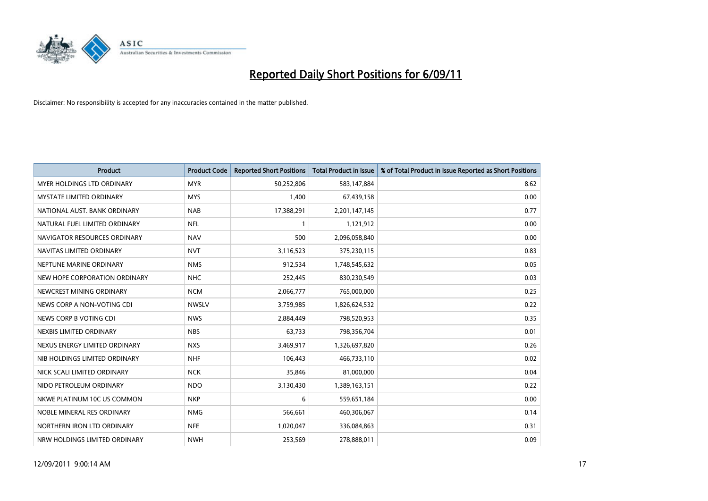

| <b>Product</b>                  | <b>Product Code</b> | <b>Reported Short Positions</b> | Total Product in Issue | % of Total Product in Issue Reported as Short Positions |
|---------------------------------|---------------------|---------------------------------|------------------------|---------------------------------------------------------|
| MYER HOLDINGS LTD ORDINARY      | <b>MYR</b>          | 50,252,806                      | 583,147,884            | 8.62                                                    |
| <b>MYSTATE LIMITED ORDINARY</b> | <b>MYS</b>          | 1,400                           | 67,439,158             | 0.00                                                    |
| NATIONAL AUST. BANK ORDINARY    | <b>NAB</b>          | 17,388,291                      | 2,201,147,145          | 0.77                                                    |
| NATURAL FUEL LIMITED ORDINARY   | <b>NFL</b>          |                                 | 1,121,912              | 0.00                                                    |
| NAVIGATOR RESOURCES ORDINARY    | <b>NAV</b>          | 500                             | 2,096,058,840          | 0.00                                                    |
| NAVITAS LIMITED ORDINARY        | <b>NVT</b>          | 3,116,523                       | 375,230,115            | 0.83                                                    |
| NEPTUNE MARINE ORDINARY         | <b>NMS</b>          | 912,534                         | 1,748,545,632          | 0.05                                                    |
| NEW HOPE CORPORATION ORDINARY   | <b>NHC</b>          | 252,445                         | 830,230,549            | 0.03                                                    |
| NEWCREST MINING ORDINARY        | <b>NCM</b>          | 2,066,777                       | 765,000,000            | 0.25                                                    |
| NEWS CORP A NON-VOTING CDI      | <b>NWSLV</b>        | 3,759,985                       | 1,826,624,532          | 0.22                                                    |
| NEWS CORP B VOTING CDI          | <b>NWS</b>          | 2,884,449                       | 798,520,953            | 0.35                                                    |
| NEXBIS LIMITED ORDINARY         | <b>NBS</b>          | 63,733                          | 798,356,704            | 0.01                                                    |
| NEXUS ENERGY LIMITED ORDINARY   | <b>NXS</b>          | 3,469,917                       | 1,326,697,820          | 0.26                                                    |
| NIB HOLDINGS LIMITED ORDINARY   | <b>NHF</b>          | 106,443                         | 466,733,110            | 0.02                                                    |
| NICK SCALI LIMITED ORDINARY     | <b>NCK</b>          | 35,846                          | 81,000,000             | 0.04                                                    |
| NIDO PETROLEUM ORDINARY         | <b>NDO</b>          | 3,130,430                       | 1,389,163,151          | 0.22                                                    |
| NKWE PLATINUM 10C US COMMON     | <b>NKP</b>          | 6                               | 559,651,184            | 0.00                                                    |
| NOBLE MINERAL RES ORDINARY      | <b>NMG</b>          | 566,661                         | 460,306,067            | 0.14                                                    |
| NORTHERN IRON LTD ORDINARY      | <b>NFE</b>          | 1,020,047                       | 336,084,863            | 0.31                                                    |
| NRW HOLDINGS LIMITED ORDINARY   | <b>NWH</b>          | 253,569                         | 278,888,011            | 0.09                                                    |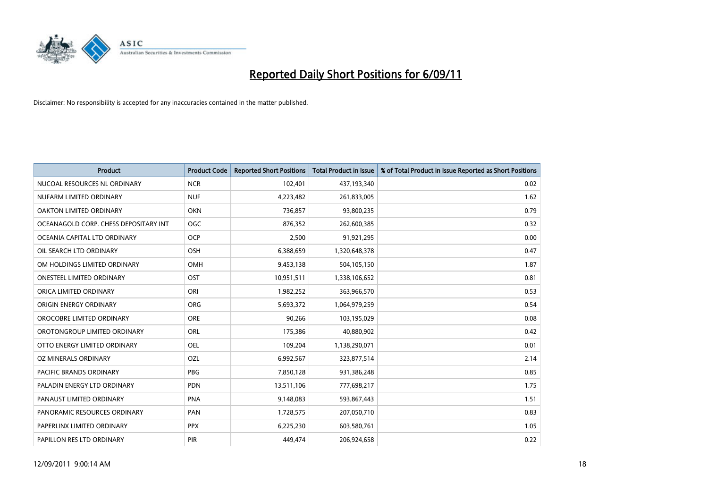

| <b>Product</b>                        | <b>Product Code</b> | <b>Reported Short Positions</b> | <b>Total Product in Issue</b> | % of Total Product in Issue Reported as Short Positions |
|---------------------------------------|---------------------|---------------------------------|-------------------------------|---------------------------------------------------------|
| NUCOAL RESOURCES NL ORDINARY          | <b>NCR</b>          | 102,401                         | 437,193,340                   | 0.02                                                    |
| NUFARM LIMITED ORDINARY               | <b>NUF</b>          | 4,223,482                       | 261,833,005                   | 1.62                                                    |
| OAKTON LIMITED ORDINARY               | <b>OKN</b>          | 736,857                         | 93,800,235                    | 0.79                                                    |
| OCEANAGOLD CORP. CHESS DEPOSITARY INT | <b>OGC</b>          | 876,352                         | 262,600,385                   | 0.32                                                    |
| OCEANIA CAPITAL LTD ORDINARY          | <b>OCP</b>          | 2,500                           | 91,921,295                    | 0.00                                                    |
| OIL SEARCH LTD ORDINARY               | OSH                 | 6,388,659                       | 1,320,648,378                 | 0.47                                                    |
| OM HOLDINGS LIMITED ORDINARY          | <b>OMH</b>          | 9,453,138                       | 504,105,150                   | 1.87                                                    |
| <b>ONESTEEL LIMITED ORDINARY</b>      | OST                 | 10,951,511                      | 1,338,106,652                 | 0.81                                                    |
| ORICA LIMITED ORDINARY                | ORI                 | 1,982,252                       | 363,966,570                   | 0.53                                                    |
| ORIGIN ENERGY ORDINARY                | <b>ORG</b>          | 5,693,372                       | 1,064,979,259                 | 0.54                                                    |
| OROCOBRE LIMITED ORDINARY             | <b>ORE</b>          | 90,266                          | 103,195,029                   | 0.08                                                    |
| OROTONGROUP LIMITED ORDINARY          | ORL                 | 175,386                         | 40,880,902                    | 0.42                                                    |
| OTTO ENERGY LIMITED ORDINARY          | <b>OEL</b>          | 109,204                         | 1,138,290,071                 | 0.01                                                    |
| OZ MINERALS ORDINARY                  | OZL                 | 6,992,567                       | 323,877,514                   | 2.14                                                    |
| <b>PACIFIC BRANDS ORDINARY</b>        | <b>PBG</b>          | 7,850,128                       | 931,386,248                   | 0.85                                                    |
| PALADIN ENERGY LTD ORDINARY           | <b>PDN</b>          | 13,511,106                      | 777,698,217                   | 1.75                                                    |
| PANAUST LIMITED ORDINARY              | <b>PNA</b>          | 9,148,083                       | 593,867,443                   | 1.51                                                    |
| PANORAMIC RESOURCES ORDINARY          | PAN                 | 1,728,575                       | 207,050,710                   | 0.83                                                    |
| PAPERLINX LIMITED ORDINARY            | <b>PPX</b>          | 6,225,230                       | 603,580,761                   | 1.05                                                    |
| PAPILLON RES LTD ORDINARY             | PIR                 | 449,474                         | 206,924,658                   | 0.22                                                    |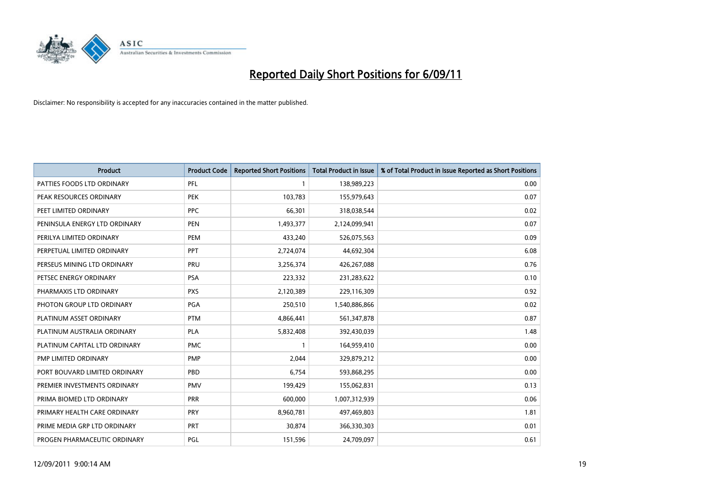

| <b>Product</b>                | <b>Product Code</b> | <b>Reported Short Positions</b> | Total Product in Issue | % of Total Product in Issue Reported as Short Positions |
|-------------------------------|---------------------|---------------------------------|------------------------|---------------------------------------------------------|
| PATTIES FOODS LTD ORDINARY    | PFL                 |                                 | 138,989,223            | 0.00                                                    |
| PEAK RESOURCES ORDINARY       | <b>PEK</b>          | 103,783                         | 155,979,643            | 0.07                                                    |
| PEET LIMITED ORDINARY         | <b>PPC</b>          | 66,301                          | 318,038,544            | 0.02                                                    |
| PENINSULA ENERGY LTD ORDINARY | <b>PEN</b>          | 1,493,377                       | 2,124,099,941          | 0.07                                                    |
| PERILYA LIMITED ORDINARY      | PEM                 | 433,240                         | 526,075,563            | 0.09                                                    |
| PERPETUAL LIMITED ORDINARY    | PPT                 | 2,724,074                       | 44,692,304             | 6.08                                                    |
| PERSEUS MINING LTD ORDINARY   | PRU                 | 3,256,374                       | 426,267,088            | 0.76                                                    |
| PETSEC ENERGY ORDINARY        | <b>PSA</b>          | 223,332                         | 231,283,622            | 0.10                                                    |
| PHARMAXIS LTD ORDINARY        | <b>PXS</b>          | 2,120,389                       | 229,116,309            | 0.92                                                    |
| PHOTON GROUP LTD ORDINARY     | PGA                 | 250,510                         | 1,540,886,866          | 0.02                                                    |
| PLATINUM ASSET ORDINARY       | <b>PTM</b>          | 4,866,441                       | 561,347,878            | 0.87                                                    |
| PLATINUM AUSTRALIA ORDINARY   | PLA                 | 5,832,408                       | 392,430,039            | 1.48                                                    |
| PLATINUM CAPITAL LTD ORDINARY | <b>PMC</b>          |                                 | 164,959,410            | 0.00                                                    |
| PMP LIMITED ORDINARY          | <b>PMP</b>          | 2,044                           | 329,879,212            | 0.00                                                    |
| PORT BOUVARD LIMITED ORDINARY | PBD                 | 6,754                           | 593,868,295            | 0.00                                                    |
| PREMIER INVESTMENTS ORDINARY  | <b>PMV</b>          | 199,429                         | 155,062,831            | 0.13                                                    |
| PRIMA BIOMED LTD ORDINARY     | PRR                 | 600,000                         | 1,007,312,939          | 0.06                                                    |
| PRIMARY HEALTH CARE ORDINARY  | <b>PRY</b>          | 8,960,781                       | 497,469,803            | 1.81                                                    |
| PRIME MEDIA GRP LTD ORDINARY  | PRT                 | 30,874                          | 366,330,303            | 0.01                                                    |
| PROGEN PHARMACEUTIC ORDINARY  | PGL                 | 151,596                         | 24,709,097             | 0.61                                                    |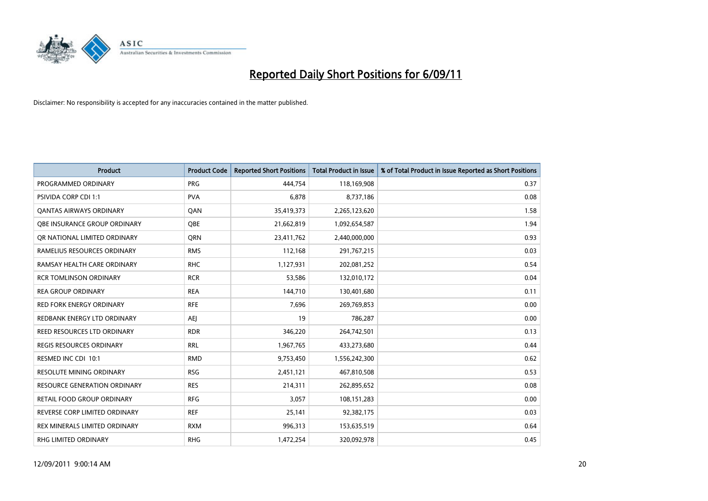

| <b>Product</b>                    | <b>Product Code</b> | <b>Reported Short Positions</b> | Total Product in Issue | % of Total Product in Issue Reported as Short Positions |
|-----------------------------------|---------------------|---------------------------------|------------------------|---------------------------------------------------------|
| PROGRAMMED ORDINARY               | <b>PRG</b>          | 444,754                         | 118,169,908            | 0.37                                                    |
| PSIVIDA CORP CDI 1:1              | <b>PVA</b>          | 6,878                           | 8,737,186              | 0.08                                                    |
| <b>QANTAS AIRWAYS ORDINARY</b>    | QAN                 | 35,419,373                      | 2,265,123,620          | 1.58                                                    |
| OBE INSURANCE GROUP ORDINARY      | <b>OBE</b>          | 21,662,819                      | 1,092,654,587          | 1.94                                                    |
| OR NATIONAL LIMITED ORDINARY      | <b>ORN</b>          | 23,411,762                      | 2,440,000,000          | 0.93                                                    |
| RAMELIUS RESOURCES ORDINARY       | <b>RMS</b>          | 112,168                         | 291,767,215            | 0.03                                                    |
| RAMSAY HEALTH CARE ORDINARY       | <b>RHC</b>          | 1,127,931                       | 202,081,252            | 0.54                                                    |
| <b>RCR TOMLINSON ORDINARY</b>     | <b>RCR</b>          | 53,586                          | 132,010,172            | 0.04                                                    |
| <b>REA GROUP ORDINARY</b>         | <b>REA</b>          | 144,710                         | 130,401,680            | 0.11                                                    |
| <b>RED FORK ENERGY ORDINARY</b>   | <b>RFE</b>          | 7,696                           | 269,769,853            | 0.00                                                    |
| REDBANK ENERGY LTD ORDINARY       | <b>AEJ</b>          | 19                              | 786,287                | 0.00                                                    |
| REED RESOURCES LTD ORDINARY       | <b>RDR</b>          | 346,220                         | 264,742,501            | 0.13                                                    |
| REGIS RESOURCES ORDINARY          | <b>RRL</b>          | 1,967,765                       | 433,273,680            | 0.44                                                    |
| RESMED INC CDI 10:1               | <b>RMD</b>          | 9,753,450                       | 1,556,242,300          | 0.62                                                    |
| <b>RESOLUTE MINING ORDINARY</b>   | <b>RSG</b>          | 2,451,121                       | 467,810,508            | 0.53                                                    |
| RESOURCE GENERATION ORDINARY      | <b>RES</b>          | 214,311                         | 262,895,652            | 0.08                                                    |
| <b>RETAIL FOOD GROUP ORDINARY</b> | <b>RFG</b>          | 3,057                           | 108,151,283            | 0.00                                                    |
| REVERSE CORP LIMITED ORDINARY     | <b>REF</b>          | 25,141                          | 92,382,175             | 0.03                                                    |
| REX MINERALS LIMITED ORDINARY     | <b>RXM</b>          | 996,313                         | 153,635,519            | 0.64                                                    |
| RHG LIMITED ORDINARY              | <b>RHG</b>          | 1,472,254                       | 320,092,978            | 0.45                                                    |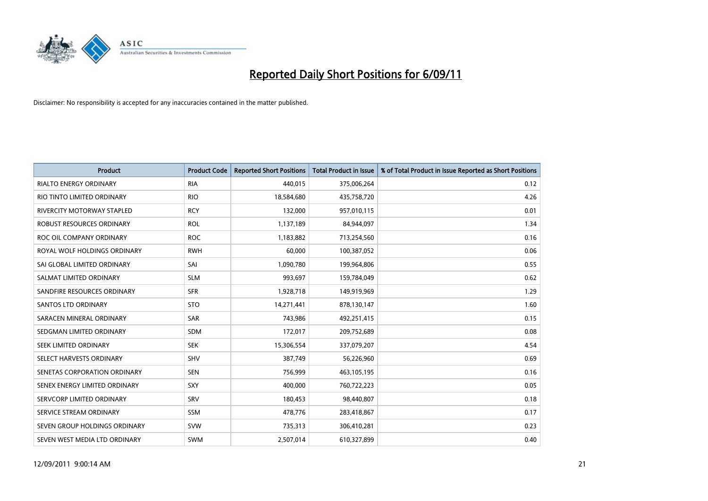

| <b>Product</b>                | <b>Product Code</b> | <b>Reported Short Positions</b> | Total Product in Issue | % of Total Product in Issue Reported as Short Positions |
|-------------------------------|---------------------|---------------------------------|------------------------|---------------------------------------------------------|
| <b>RIALTO ENERGY ORDINARY</b> | <b>RIA</b>          | 440,015                         | 375,006,264            | 0.12                                                    |
| RIO TINTO LIMITED ORDINARY    | <b>RIO</b>          | 18,584,680                      | 435,758,720            | 4.26                                                    |
| RIVERCITY MOTORWAY STAPLED    | <b>RCY</b>          | 132,000                         | 957,010,115            | 0.01                                                    |
| ROBUST RESOURCES ORDINARY     | <b>ROL</b>          | 1,137,189                       | 84,944,097             | 1.34                                                    |
| ROC OIL COMPANY ORDINARY      | <b>ROC</b>          | 1,183,882                       | 713,254,560            | 0.16                                                    |
| ROYAL WOLF HOLDINGS ORDINARY  | <b>RWH</b>          | 60,000                          | 100,387,052            | 0.06                                                    |
| SAI GLOBAL LIMITED ORDINARY   | SAI                 | 1,090,780                       | 199,964,806            | 0.55                                                    |
| SALMAT LIMITED ORDINARY       | <b>SLM</b>          | 993,697                         | 159,784,049            | 0.62                                                    |
| SANDFIRE RESOURCES ORDINARY   | <b>SFR</b>          | 1,928,718                       | 149,919,969            | 1.29                                                    |
| <b>SANTOS LTD ORDINARY</b>    | <b>STO</b>          | 14,271,441                      | 878,130,147            | 1.60                                                    |
| SARACEN MINERAL ORDINARY      | <b>SAR</b>          | 743,986                         | 492,251,415            | 0.15                                                    |
| SEDGMAN LIMITED ORDINARY      | SDM                 | 172,017                         | 209,752,689            | 0.08                                                    |
| SEEK LIMITED ORDINARY         | <b>SEK</b>          | 15,306,554                      | 337,079,207            | 4.54                                                    |
| SELECT HARVESTS ORDINARY      | <b>SHV</b>          | 387.749                         | 56,226,960             | 0.69                                                    |
| SENETAS CORPORATION ORDINARY  | <b>SEN</b>          | 756,999                         | 463,105,195            | 0.16                                                    |
| SENEX ENERGY LIMITED ORDINARY | SXY                 | 400,000                         | 760,722,223            | 0.05                                                    |
| SERVCORP LIMITED ORDINARY     | SRV                 | 180,453                         | 98,440,807             | 0.18                                                    |
| SERVICE STREAM ORDINARY       | <b>SSM</b>          | 478,776                         | 283,418,867            | 0.17                                                    |
| SEVEN GROUP HOLDINGS ORDINARY | <b>SVW</b>          | 735,313                         | 306,410,281            | 0.23                                                    |
| SEVEN WEST MEDIA LTD ORDINARY | <b>SWM</b>          | 2,507,014                       | 610,327,899            | 0.40                                                    |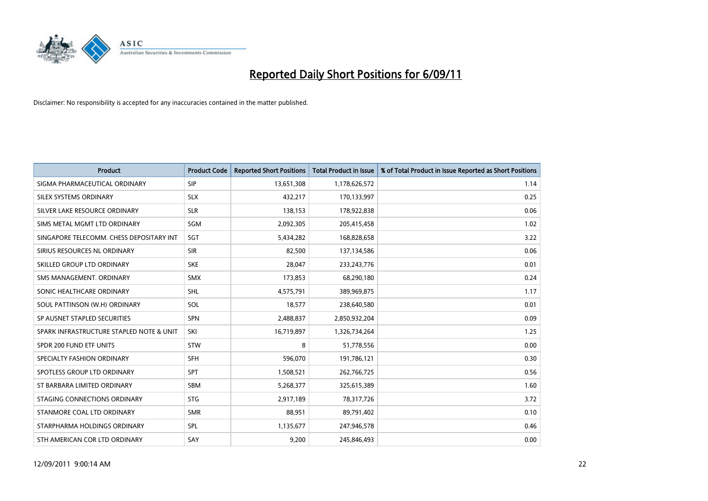

| Product                                  | <b>Product Code</b> | <b>Reported Short Positions</b> | <b>Total Product in Issue</b> | % of Total Product in Issue Reported as Short Positions |
|------------------------------------------|---------------------|---------------------------------|-------------------------------|---------------------------------------------------------|
| SIGMA PHARMACEUTICAL ORDINARY            | <b>SIP</b>          | 13,651,308                      | 1,178,626,572                 | 1.14                                                    |
| SILEX SYSTEMS ORDINARY                   | <b>SLX</b>          | 432,217                         | 170,133,997                   | 0.25                                                    |
| SILVER LAKE RESOURCE ORDINARY            | <b>SLR</b>          | 138,153                         | 178,922,838                   | 0.06                                                    |
| SIMS METAL MGMT LTD ORDINARY             | <b>SGM</b>          | 2,092,305                       | 205,415,458                   | 1.02                                                    |
| SINGAPORE TELECOMM. CHESS DEPOSITARY INT | SGT                 | 5,434,282                       | 168,828,658                   | 3.22                                                    |
| SIRIUS RESOURCES NL ORDINARY             | <b>SIR</b>          | 82,500                          | 137,134,586                   | 0.06                                                    |
| SKILLED GROUP LTD ORDINARY               | <b>SKE</b>          | 28,047                          | 233, 243, 776                 | 0.01                                                    |
| SMS MANAGEMENT, ORDINARY                 | <b>SMX</b>          | 173,853                         | 68,290,180                    | 0.24                                                    |
| SONIC HEALTHCARE ORDINARY                | <b>SHL</b>          | 4,575,791                       | 389,969,875                   | 1.17                                                    |
| SOUL PATTINSON (W.H) ORDINARY            | SOL                 | 18,577                          | 238,640,580                   | 0.01                                                    |
| SP AUSNET STAPLED SECURITIES             | <b>SPN</b>          | 2,488,837                       | 2,850,932,204                 | 0.09                                                    |
| SPARK INFRASTRUCTURE STAPLED NOTE & UNIT | SKI                 | 16,719,897                      | 1,326,734,264                 | 1.25                                                    |
| SPDR 200 FUND ETF UNITS                  | <b>STW</b>          | 8                               | 51,778,556                    | 0.00                                                    |
| SPECIALTY FASHION ORDINARY               | <b>SFH</b>          | 596,070                         | 191,786,121                   | 0.30                                                    |
| SPOTLESS GROUP LTD ORDINARY              | <b>SPT</b>          | 1,508,521                       | 262,766,725                   | 0.56                                                    |
| ST BARBARA LIMITED ORDINARY              | <b>SBM</b>          | 5,268,377                       | 325,615,389                   | 1.60                                                    |
| STAGING CONNECTIONS ORDINARY             | <b>STG</b>          | 2,917,189                       | 78,317,726                    | 3.72                                                    |
| STANMORE COAL LTD ORDINARY               | <b>SMR</b>          | 88,951                          | 89,791,402                    | 0.10                                                    |
| STARPHARMA HOLDINGS ORDINARY             | SPL                 | 1,135,677                       | 247,946,578                   | 0.46                                                    |
| STH AMERICAN COR LTD ORDINARY            | SAY                 | 9,200                           | 245,846,493                   | 0.00                                                    |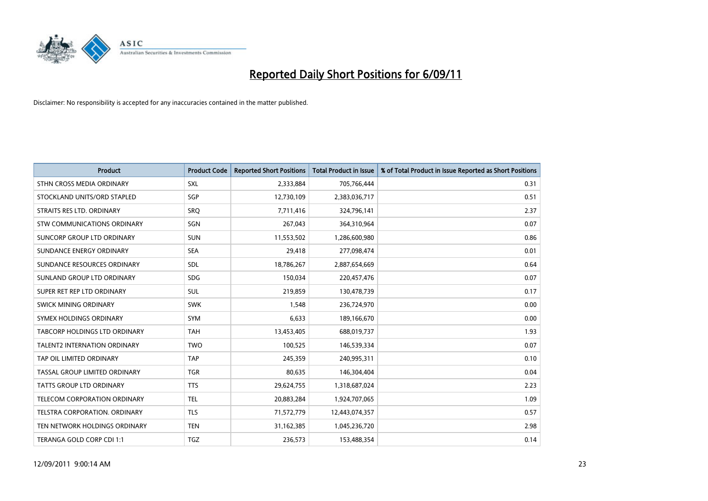

| Product                              | <b>Product Code</b> | <b>Reported Short Positions</b> | <b>Total Product in Issue</b> | % of Total Product in Issue Reported as Short Positions |
|--------------------------------------|---------------------|---------------------------------|-------------------------------|---------------------------------------------------------|
| STHN CROSS MEDIA ORDINARY            | SXL                 | 2,333,884                       | 705,766,444                   | 0.31                                                    |
| STOCKLAND UNITS/ORD STAPLED          | SGP                 | 12,730,109                      | 2,383,036,717                 | 0.51                                                    |
| STRAITS RES LTD. ORDINARY            | SRO                 | 7,711,416                       | 324,796,141                   | 2.37                                                    |
| STW COMMUNICATIONS ORDINARY          | SGN                 | 267,043                         | 364,310,964                   | 0.07                                                    |
| SUNCORP GROUP LTD ORDINARY           | <b>SUN</b>          | 11,553,502                      | 1,286,600,980                 | 0.86                                                    |
| SUNDANCE ENERGY ORDINARY             | <b>SEA</b>          | 29,418                          | 277,098,474                   | 0.01                                                    |
| SUNDANCE RESOURCES ORDINARY          | SDL                 | 18,786,267                      | 2,887,654,669                 | 0.64                                                    |
| SUNLAND GROUP LTD ORDINARY           | <b>SDG</b>          | 150,034                         | 220,457,476                   | 0.07                                                    |
| SUPER RET REP LTD ORDINARY           | SUL                 | 219,859                         | 130,478,739                   | 0.17                                                    |
| SWICK MINING ORDINARY                | <b>SWK</b>          | 1,548                           | 236,724,970                   | 0.00                                                    |
| SYMEX HOLDINGS ORDINARY              | <b>SYM</b>          | 6,633                           | 189,166,670                   | 0.00                                                    |
| <b>TABCORP HOLDINGS LTD ORDINARY</b> | <b>TAH</b>          | 13,453,405                      | 688,019,737                   | 1.93                                                    |
| <b>TALENT2 INTERNATION ORDINARY</b>  | <b>TWO</b>          | 100,525                         | 146,539,334                   | 0.07                                                    |
| TAP OIL LIMITED ORDINARY             | <b>TAP</b>          | 245,359                         | 240,995,311                   | 0.10                                                    |
| TASSAL GROUP LIMITED ORDINARY        | <b>TGR</b>          | 80,635                          | 146,304,404                   | 0.04                                                    |
| <b>TATTS GROUP LTD ORDINARY</b>      | <b>TTS</b>          | 29,624,755                      | 1,318,687,024                 | 2.23                                                    |
| TELECOM CORPORATION ORDINARY         | <b>TEL</b>          | 20,883,284                      | 1,924,707,065                 | 1.09                                                    |
| TELSTRA CORPORATION. ORDINARY        | <b>TLS</b>          | 71,572,779                      | 12,443,074,357                | 0.57                                                    |
| TEN NETWORK HOLDINGS ORDINARY        | <b>TEN</b>          | 31,162,385                      | 1,045,236,720                 | 2.98                                                    |
| TERANGA GOLD CORP CDI 1:1            | TGZ                 | 236,573                         | 153,488,354                   | 0.14                                                    |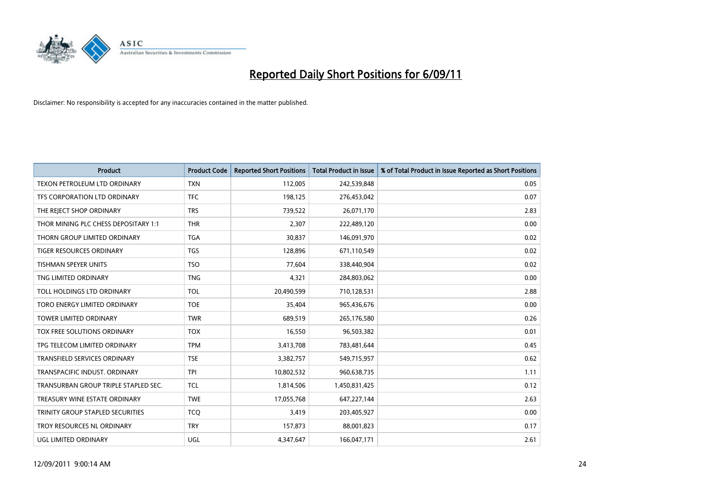

| Product                              | <b>Product Code</b> | <b>Reported Short Positions</b> | <b>Total Product in Issue</b> | % of Total Product in Issue Reported as Short Positions |
|--------------------------------------|---------------------|---------------------------------|-------------------------------|---------------------------------------------------------|
| <b>TEXON PETROLEUM LTD ORDINARY</b>  | <b>TXN</b>          | 112,005                         | 242,539,848                   | 0.05                                                    |
| TFS CORPORATION LTD ORDINARY         | <b>TFC</b>          | 198,125                         | 276,453,042                   | 0.07                                                    |
| THE REJECT SHOP ORDINARY             | <b>TRS</b>          | 739,522                         | 26,071,170                    | 2.83                                                    |
| THOR MINING PLC CHESS DEPOSITARY 1:1 | <b>THR</b>          | 2,307                           | 222,489,120                   | 0.00                                                    |
| THORN GROUP LIMITED ORDINARY         | <b>TGA</b>          | 30,837                          | 146,091,970                   | 0.02                                                    |
| <b>TIGER RESOURCES ORDINARY</b>      | <b>TGS</b>          | 128,896                         | 671,110,549                   | 0.02                                                    |
| <b>TISHMAN SPEYER UNITS</b>          | <b>TSO</b>          | 77,604                          | 338,440,904                   | 0.02                                                    |
| TNG LIMITED ORDINARY                 | <b>TNG</b>          | 4,321                           | 284,803,062                   | 0.00                                                    |
| TOLL HOLDINGS LTD ORDINARY           | <b>TOL</b>          | 20,490,599                      | 710,128,531                   | 2.88                                                    |
| TORO ENERGY LIMITED ORDINARY         | <b>TOE</b>          | 35,404                          | 965,436,676                   | 0.00                                                    |
| <b>TOWER LIMITED ORDINARY</b>        | <b>TWR</b>          | 689,519                         | 265,176,580                   | 0.26                                                    |
| TOX FREE SOLUTIONS ORDINARY          | <b>TOX</b>          | 16,550                          | 96,503,382                    | 0.01                                                    |
| TPG TELECOM LIMITED ORDINARY         | <b>TPM</b>          | 3,413,708                       | 783,481,644                   | 0.45                                                    |
| <b>TRANSFIELD SERVICES ORDINARY</b>  | <b>TSE</b>          | 3,382,757                       | 549,715,957                   | 0.62                                                    |
| TRANSPACIFIC INDUST, ORDINARY        | <b>TPI</b>          | 10,802,532                      | 960,638,735                   | 1.11                                                    |
| TRANSURBAN GROUP TRIPLE STAPLED SEC. | <b>TCL</b>          | 1,814,506                       | 1,450,831,425                 | 0.12                                                    |
| TREASURY WINE ESTATE ORDINARY        | <b>TWE</b>          | 17,055,768                      | 647,227,144                   | 2.63                                                    |
| TRINITY GROUP STAPLED SECURITIES     | <b>TCQ</b>          | 3,419                           | 203,405,927                   | 0.00                                                    |
| TROY RESOURCES NL ORDINARY           | <b>TRY</b>          | 157,873                         | 88,001,823                    | 0.17                                                    |
| UGL LIMITED ORDINARY                 | <b>UGL</b>          | 4,347,647                       | 166,047,171                   | 2.61                                                    |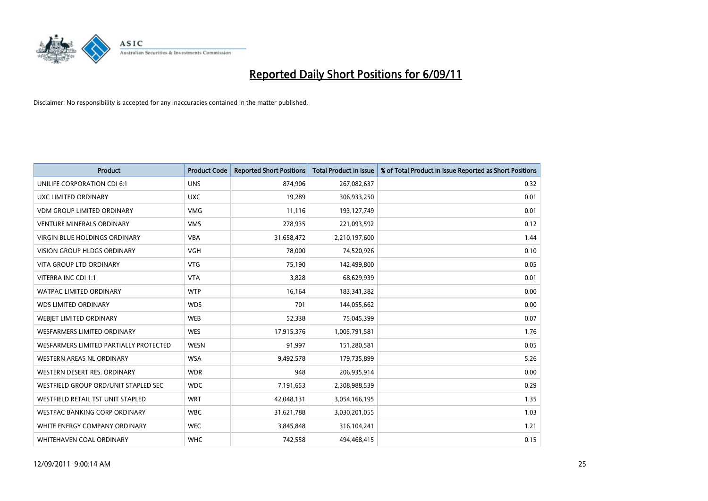

| <b>Product</b>                         | <b>Product Code</b> | <b>Reported Short Positions</b> | <b>Total Product in Issue</b> | % of Total Product in Issue Reported as Short Positions |
|----------------------------------------|---------------------|---------------------------------|-------------------------------|---------------------------------------------------------|
| <b>UNILIFE CORPORATION CDI 6:1</b>     | <b>UNS</b>          | 874,906                         | 267,082,637                   | 0.32                                                    |
| UXC LIMITED ORDINARY                   | <b>UXC</b>          | 19,289                          | 306,933,250                   | 0.01                                                    |
| <b>VDM GROUP LIMITED ORDINARY</b>      | <b>VMG</b>          | 11,116                          | 193,127,749                   | 0.01                                                    |
| <b>VENTURE MINERALS ORDINARY</b>       | <b>VMS</b>          | 278,935                         | 221,093,592                   | 0.12                                                    |
| <b>VIRGIN BLUE HOLDINGS ORDINARY</b>   | <b>VBA</b>          | 31,658,472                      | 2,210,197,600                 | 1.44                                                    |
| <b>VISION GROUP HLDGS ORDINARY</b>     | <b>VGH</b>          | 78,000                          | 74,520,926                    | 0.10                                                    |
| <b>VITA GROUP LTD ORDINARY</b>         | <b>VTG</b>          | 75,190                          | 142,499,800                   | 0.05                                                    |
| VITERRA INC CDI 1:1                    | <b>VTA</b>          | 3,828                           | 68,629,939                    | 0.01                                                    |
| WATPAC LIMITED ORDINARY                | <b>WTP</b>          | 16,164                          | 183,341,382                   | 0.00                                                    |
| <b>WDS LIMITED ORDINARY</b>            | <b>WDS</b>          | 701                             | 144,055,662                   | 0.00                                                    |
| WEBJET LIMITED ORDINARY                | WEB                 | 52,338                          | 75,045,399                    | 0.07                                                    |
| <b>WESFARMERS LIMITED ORDINARY</b>     | <b>WES</b>          | 17,915,376                      | 1,005,791,581                 | 1.76                                                    |
| WESFARMERS LIMITED PARTIALLY PROTECTED | <b>WESN</b>         | 91,997                          | 151,280,581                   | 0.05                                                    |
| <b>WESTERN AREAS NL ORDINARY</b>       | <b>WSA</b>          | 9,492,578                       | 179,735,899                   | 5.26                                                    |
| WESTERN DESERT RES. ORDINARY           | <b>WDR</b>          | 948                             | 206,935,914                   | 0.00                                                    |
| WESTFIELD GROUP ORD/UNIT STAPLED SEC   | <b>WDC</b>          | 7,191,653                       | 2,308,988,539                 | 0.29                                                    |
| WESTFIELD RETAIL TST UNIT STAPLED      | <b>WRT</b>          | 42,048,131                      | 3,054,166,195                 | 1.35                                                    |
| WESTPAC BANKING CORP ORDINARY          | <b>WBC</b>          | 31,621,788                      | 3,030,201,055                 | 1.03                                                    |
| WHITE ENERGY COMPANY ORDINARY          | <b>WEC</b>          | 3,845,848                       | 316,104,241                   | 1.21                                                    |
| WHITEHAVEN COAL ORDINARY               | <b>WHC</b>          | 742,558                         | 494,468,415                   | 0.15                                                    |